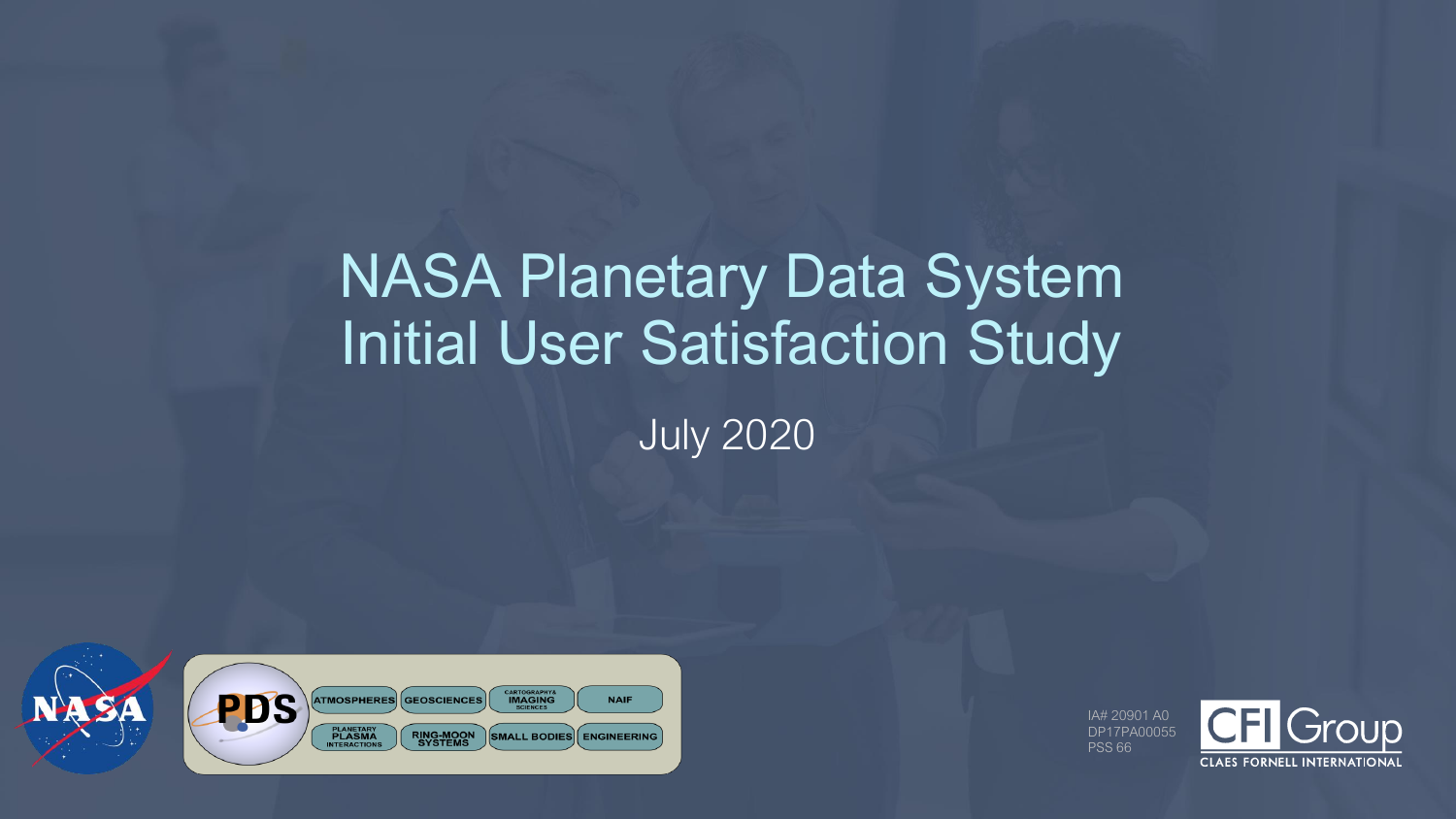### NASA Planetary Data System Initial User Satisfaction Study

July 2020



IA# 20901 A0 DP17PA00055 PSS 66

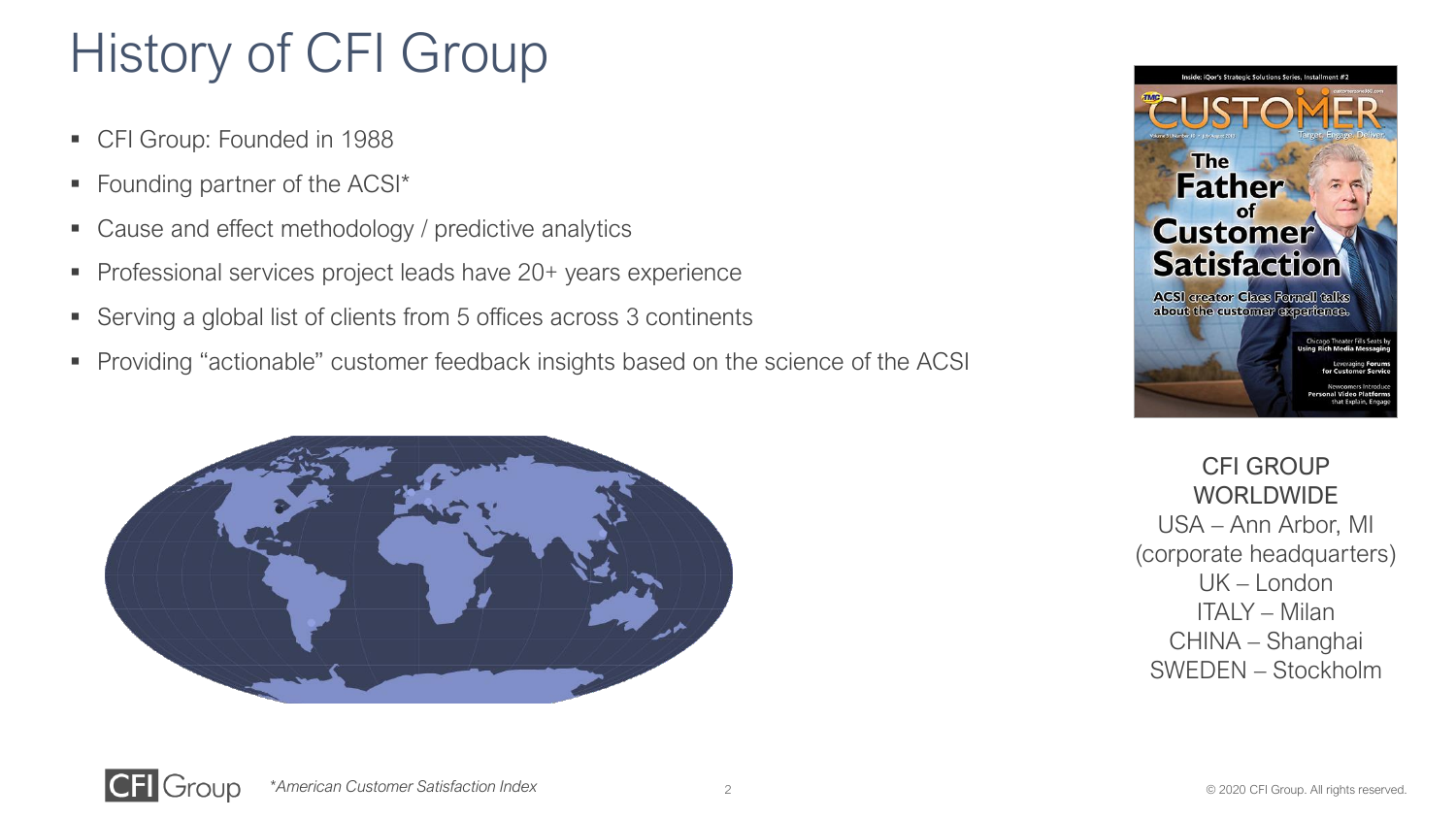### History of CFI Group

- CFI Group: Founded in 1988
- Founding partner of the ACSI\*
- Cause and effect methodology / predictive analytics
- Professional services project leads have 20+ years experience
- Serving a global list of clients from 5 offices across 3 continents
- Providing "actionable" customer feedback insights based on the science of the ACSI





CFI GROUP WORLDWIDE USA – Ann Arbor, MI (corporate headquarters) UK – London ITALY – Milan CHINA – Shanghai SWEDEN – Stockholm



*\*American Customer Satisfaction Index*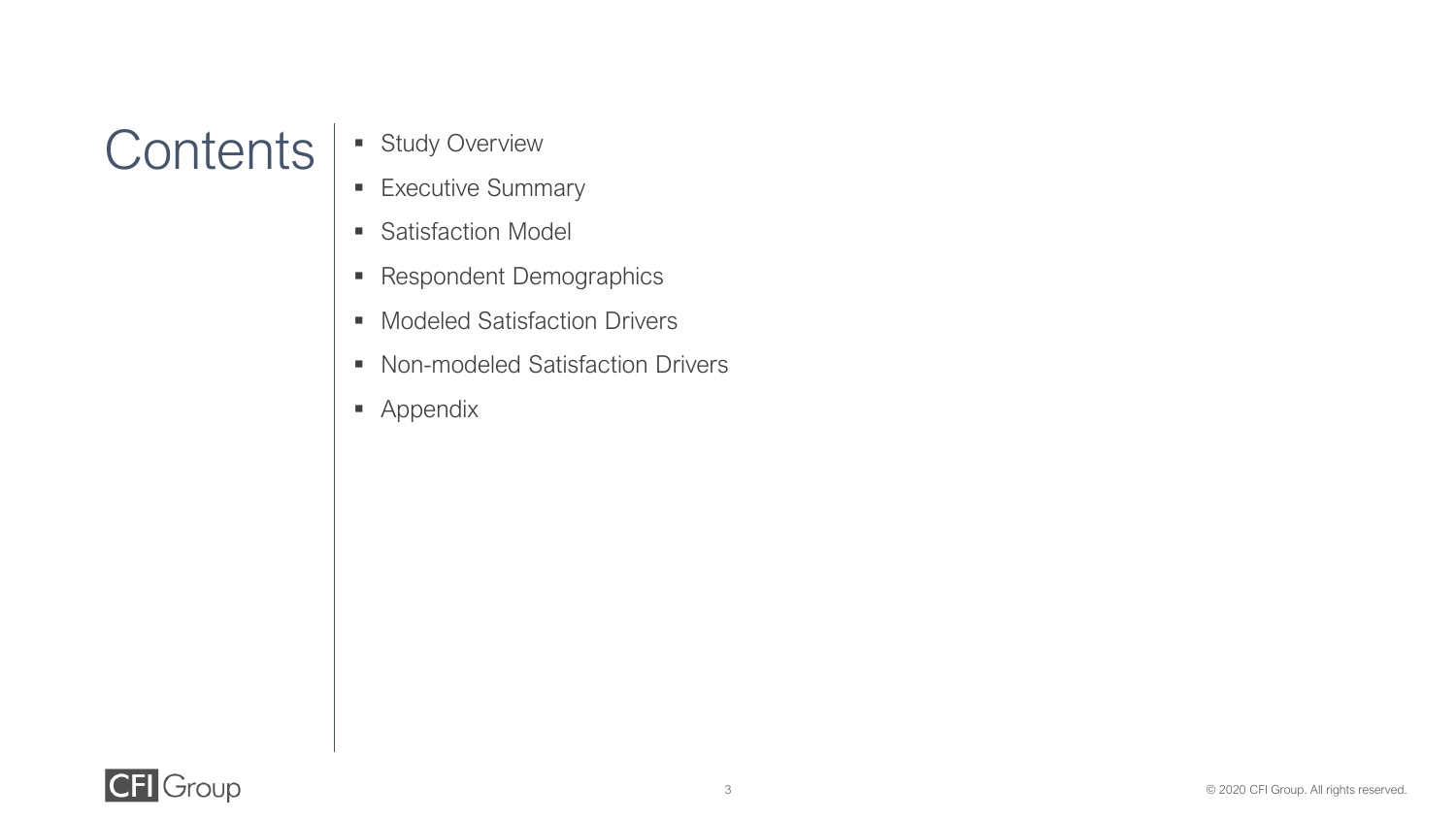### Contents | **·** Study Overview

- 
- **Executive Summary**
- **E** Satisfaction Model
- Respondent Demographics
- Modeled Satisfaction Drivers
- Non-modeled Satisfaction Drivers
- Appendix

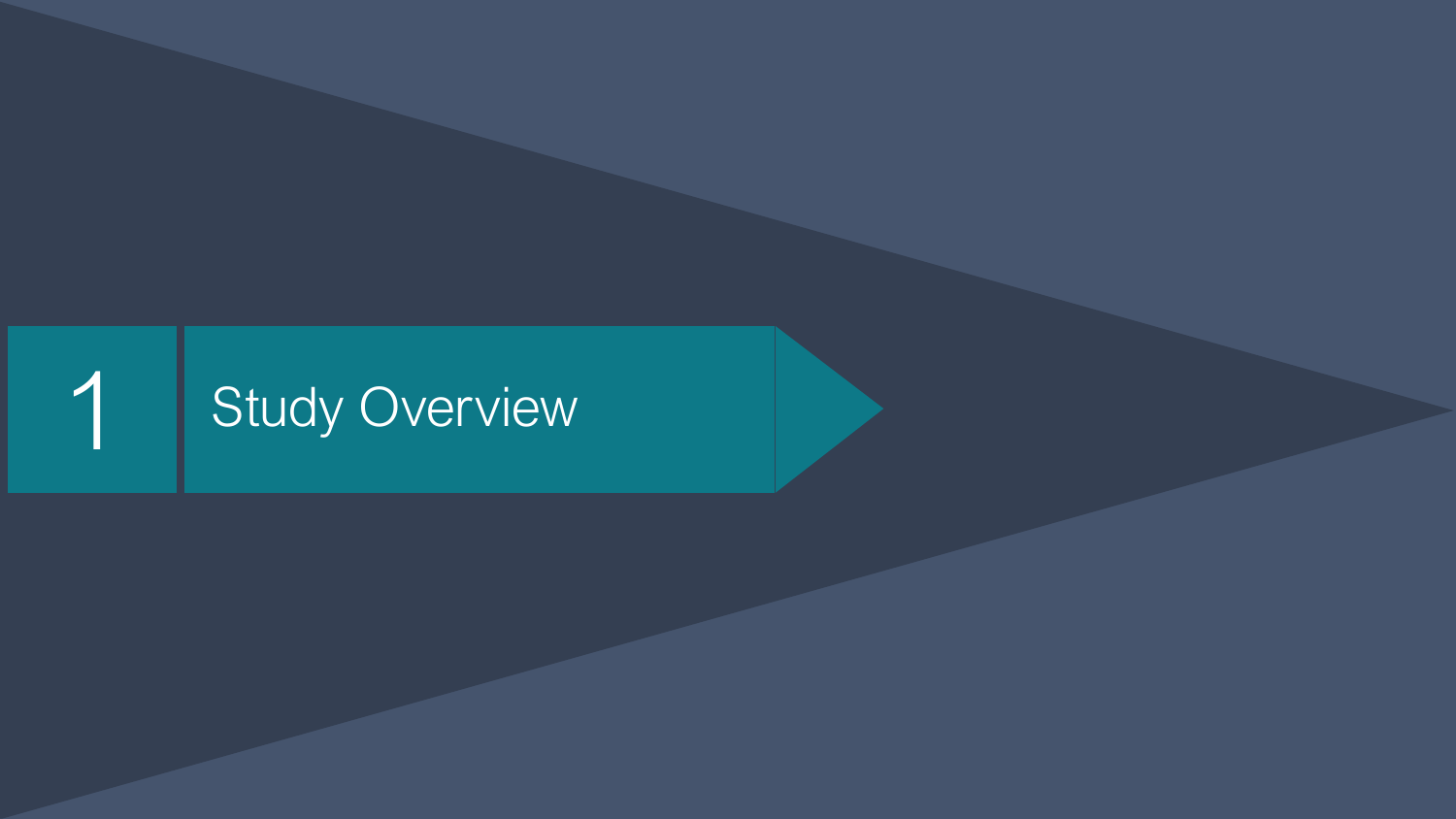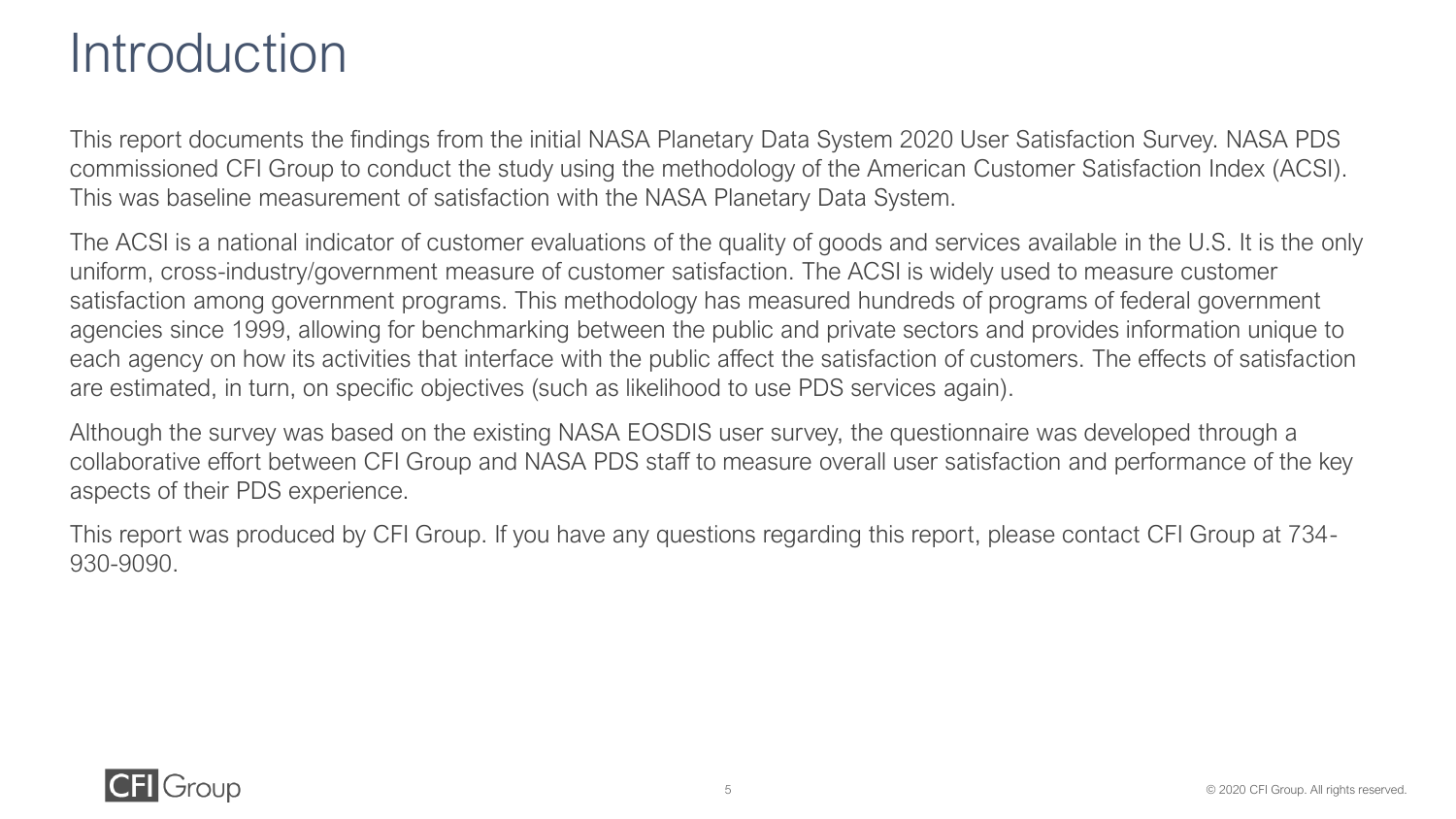### **Introduction**

This report documents the findings from the initial NASA Planetary Data System 2020 User Satisfaction Survey. NASA PDS commissioned CFI Group to conduct the study using the methodology of the American Customer Satisfaction Index (ACSI). This was baseline measurement of satisfaction with the NASA Planetary Data System.

The ACSI is a national indicator of customer evaluations of the quality of goods and services available in the U.S. It is the only uniform, cross-industry/government measure of customer satisfaction. The ACSI is widely used to measure customer satisfaction among government programs. This methodology has measured hundreds of programs of federal government agencies since 1999, allowing for benchmarking between the public and private sectors and provides information unique to each agency on how its activities that interface with the public affect the satisfaction of customers. The effects of satisfaction are estimated, in turn, on specific objectives (such as likelihood to use PDS services again).

Although the survey was based on the existing NASA EOSDIS user survey, the questionnaire was developed through a collaborative effort between CFI Group and NASA PDS staff to measure overall user satisfaction and performance of the key aspects of their PDS experience.

This report was produced by CFI Group. If you have any questions regarding this report, please contact CFI Group at 734- 930-9090.

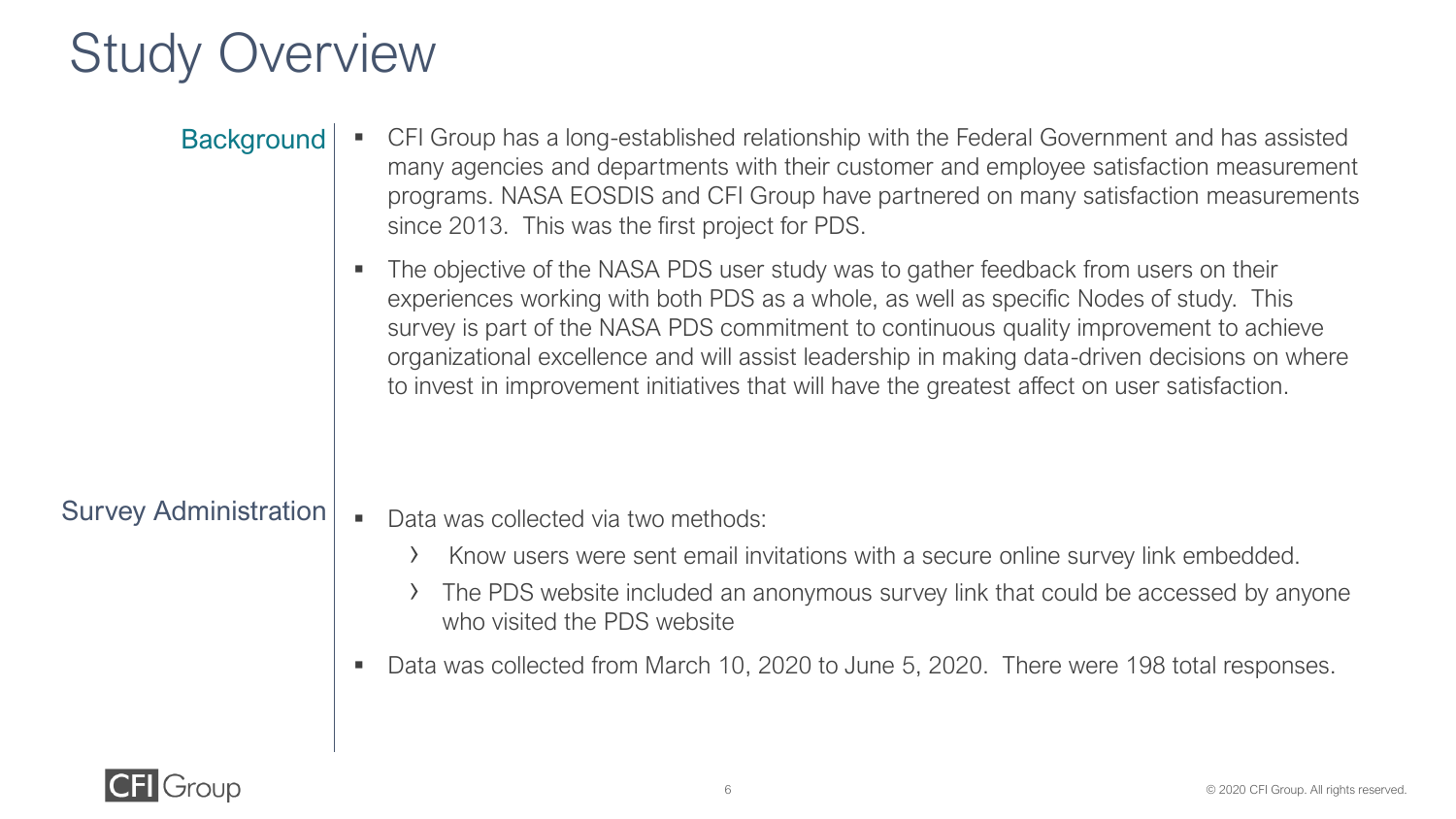### Study Overview

| <b>Background</b>            | CFI Group has a long-established relationship with the Federal Government and has assisted<br>many agencies and departments with their customer and employee satisfaction measurement<br>programs. NASA EOSDIS and CFI Group have partnered on many satisfaction measurements<br>since 2013. This was the first project for PDS.                                                                                                                                          |
|------------------------------|---------------------------------------------------------------------------------------------------------------------------------------------------------------------------------------------------------------------------------------------------------------------------------------------------------------------------------------------------------------------------------------------------------------------------------------------------------------------------|
|                              | The objective of the NASA PDS user study was to gather feedback from users on their<br>experiences working with both PDS as a whole, as well as specific Nodes of study. This<br>survey is part of the NASA PDS commitment to continuous quality improvement to achieve<br>organizational excellence and will assist leadership in making data-driven decisions on where<br>to invest in improvement initiatives that will have the greatest affect on user satisfaction. |
| <b>Survey Administration</b> | Data was collected via two methods:                                                                                                                                                                                                                                                                                                                                                                                                                                       |

- › Know users were sent email invitations with a secure online survey link embedded.
- › The PDS website included an anonymous survey link that could be accessed by anyone who visited the PDS website
- Data was collected from March 10, 2020 to June 5, 2020. There were 198 total responses.

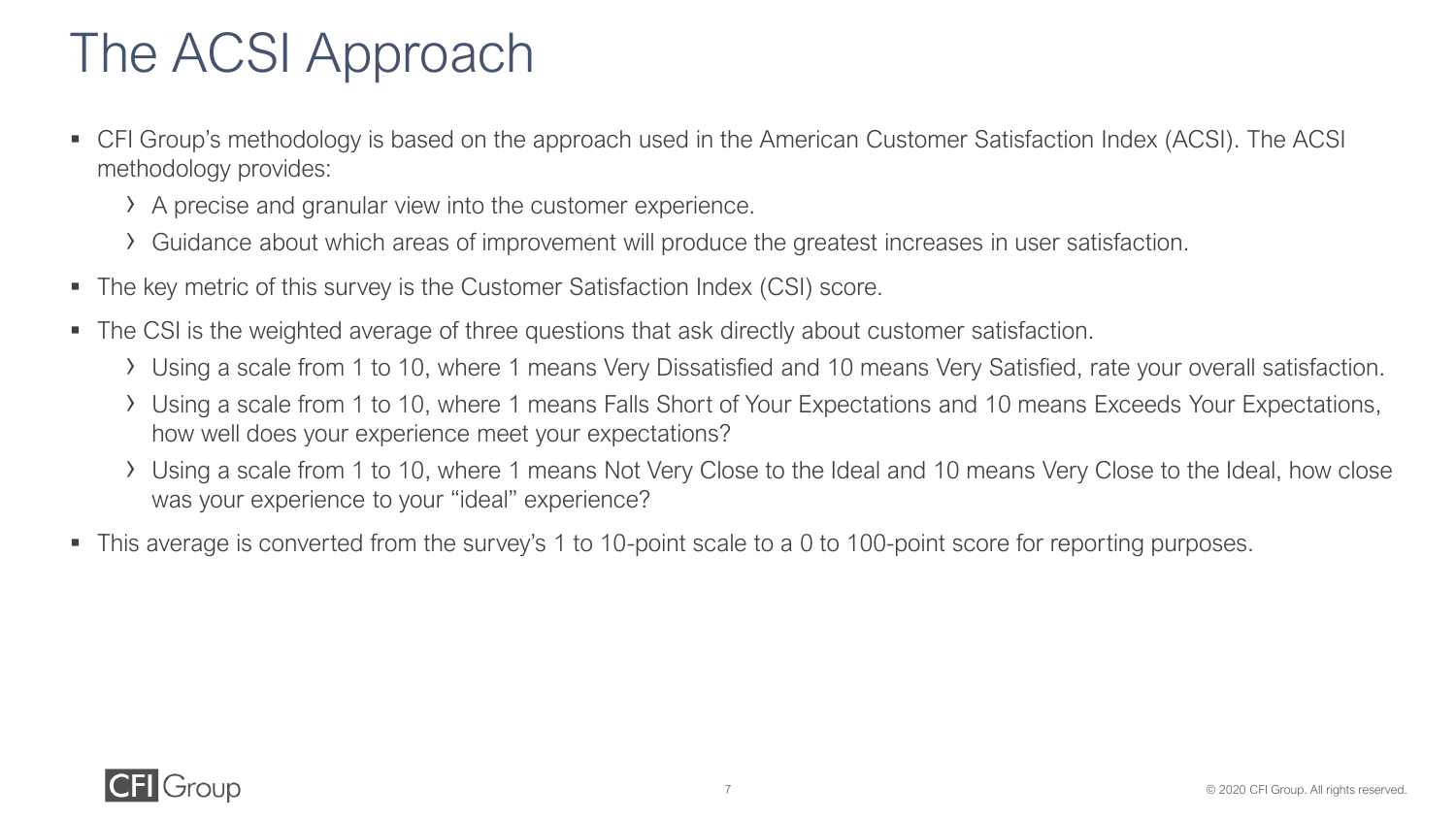### The ACSI Approach

- CFI Group's methodology is based on the approach used in the American Customer Satisfaction Index (ACSI). The ACSI methodology provides:
	- › A precise and granular view into the customer experience.
	- › Guidance about which areas of improvement will produce the greatest increases in user satisfaction.
- The key metric of this survey is the Customer Satisfaction Index (CSI) score.
- The CSI is the weighted average of three questions that ask directly about customer satisfaction.
	- › Using a scale from 1 to 10, where 1 means Very Dissatisfied and 10 means Very Satisfied, rate your overall satisfaction.
	- › Using a scale from 1 to 10, where 1 means Falls Short of Your Expectations and 10 means Exceeds Your Expectations, how well does your experience meet your expectations?
	- › Using a scale from 1 to 10, where 1 means Not Very Close to the Ideal and 10 means Very Close to the Ideal, how close was your experience to your "ideal" experience?
- This average is converted from the survey's 1 to 10-point scale to a 0 to 100-point score for reporting purposes.

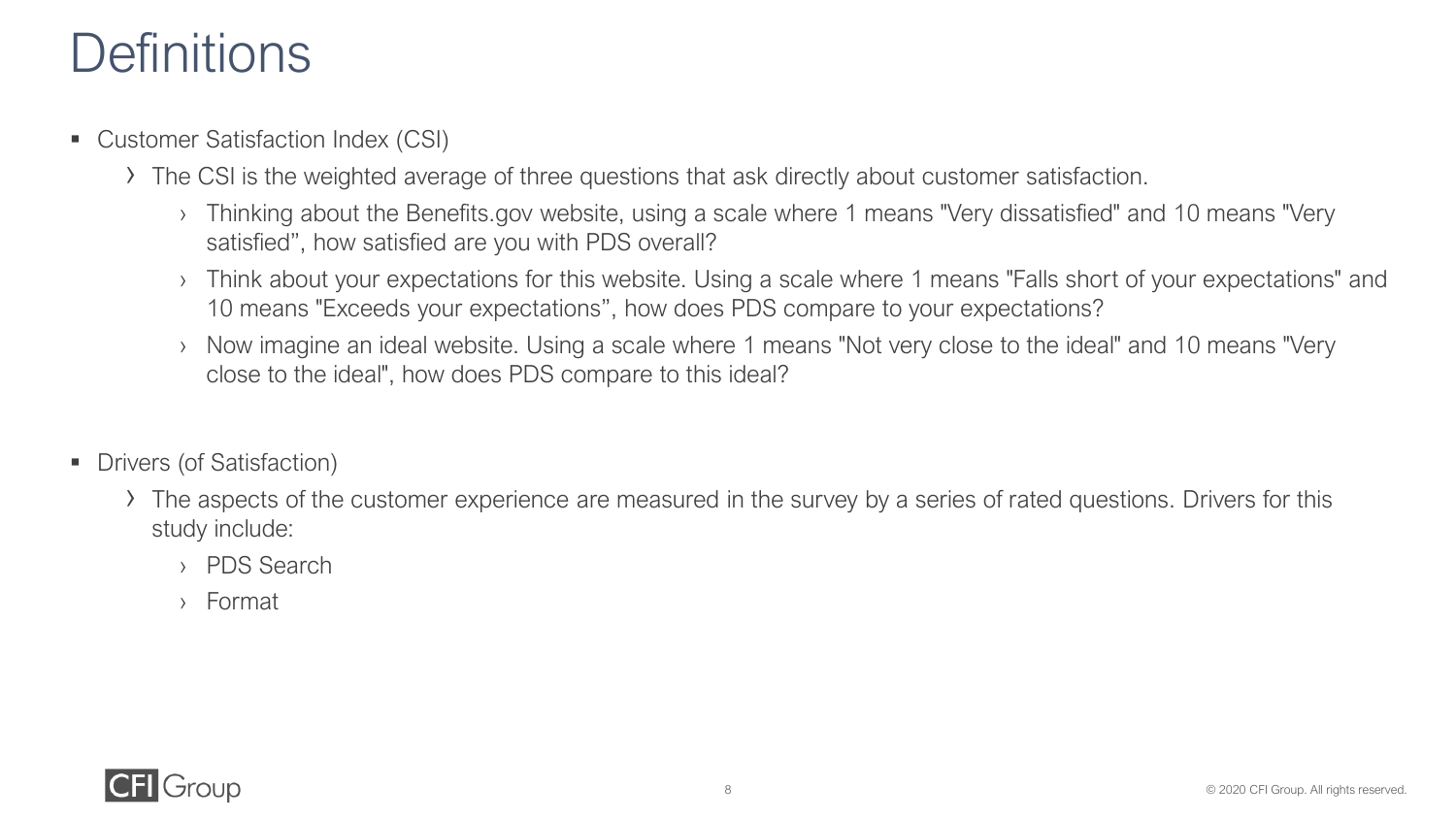### **Definitions**

- Customer Satisfaction Index (CSI)
	- › The CSI is the weighted average of three questions that ask directly about customer satisfaction.
		- › Thinking about the Benefits.gov website, using a scale where 1 means "Very dissatisfied" and 10 means "Very satisfied", how satisfied are you with PDS overall?
		- › Think about your expectations for this website. Using a scale where 1 means "Falls short of your expectations" and 10 means "Exceeds your expectations", how does PDS compare to your expectations?
		- › Now imagine an ideal website. Using a scale where 1 means "Not very close to the ideal" and 10 means "Very close to the ideal", how does PDS compare to this ideal?
- Drivers (of Satisfaction)
	- › The aspects of the customer experience are measured in the survey by a series of rated questions. Drivers for this study include:
		- › PDS Search
		- › Format

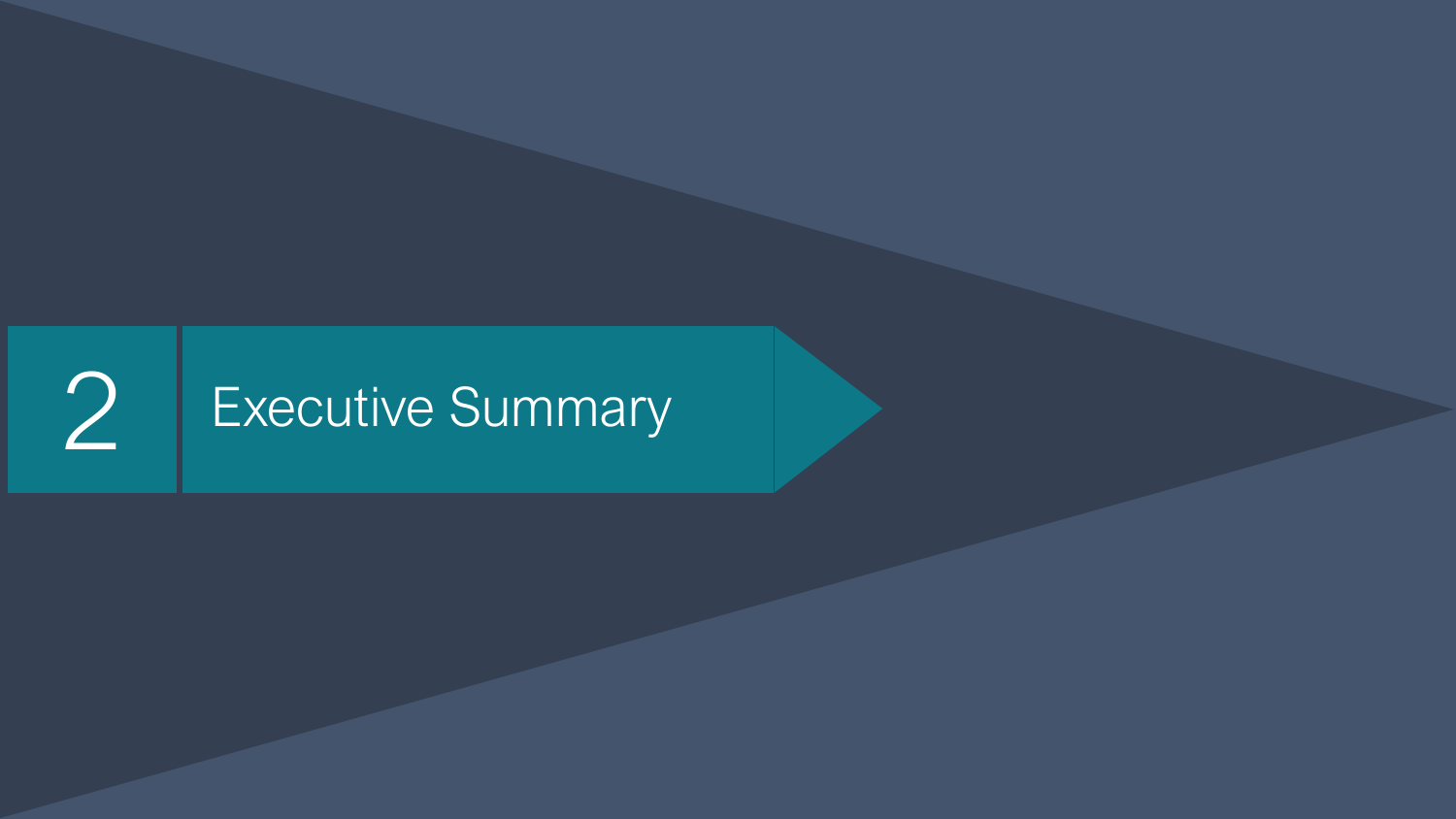## 2 Executive Summary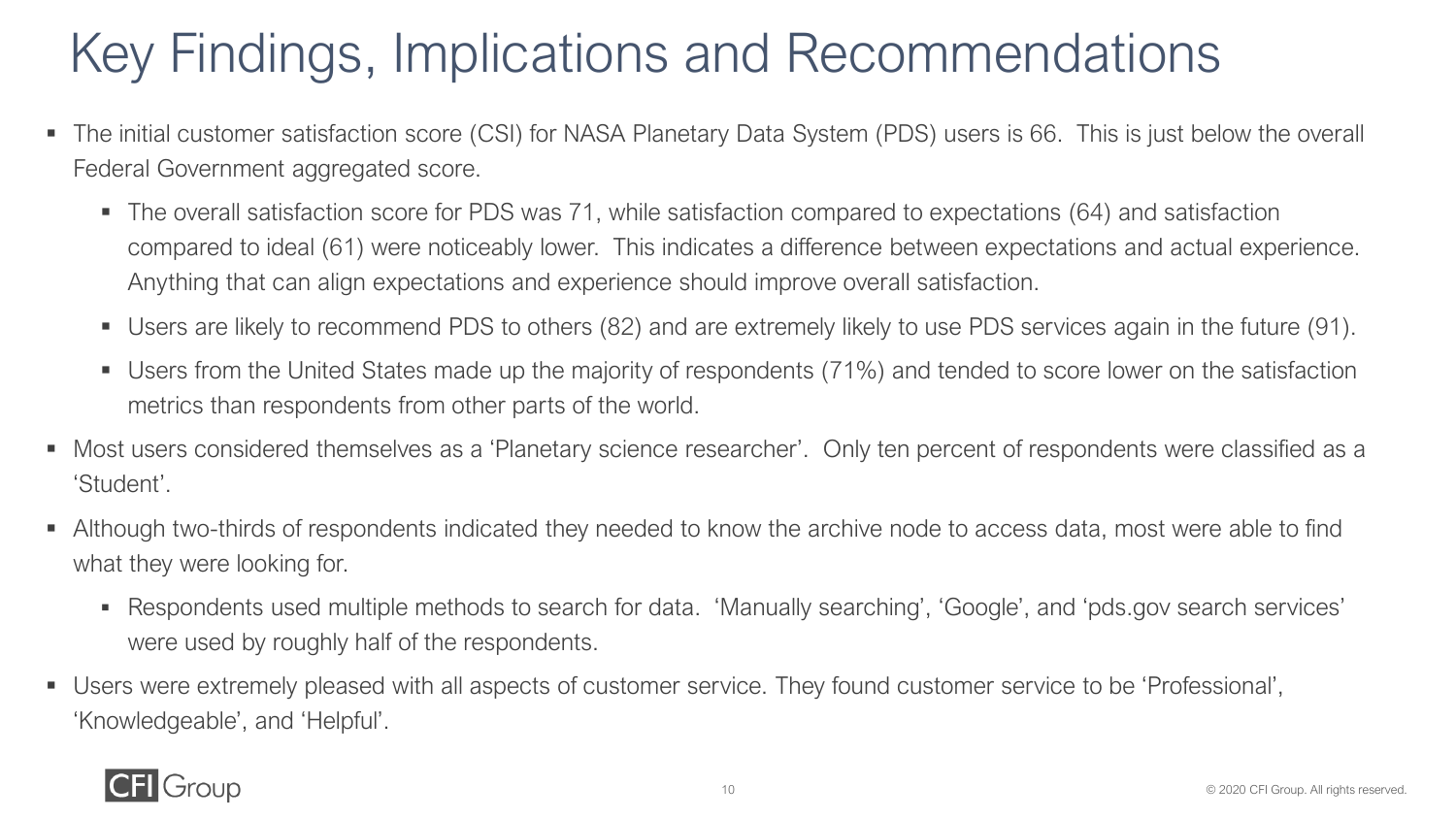### Key Findings, Implications and Recommendations

- The initial customer satisfaction score (CSI) for NASA Planetary Data System (PDS) users is 66. This is just below the overall Federal Government aggregated score.
	- The overall satisfaction score for PDS was 71, while satisfaction compared to expectations (64) and satisfaction compared to ideal (61) were noticeably lower. This indicates a difference between expectations and actual experience. Anything that can align expectations and experience should improve overall satisfaction.
	- Users are likely to recommend PDS to others (82) and are extremely likely to use PDS services again in the future (91).
	- Users from the United States made up the majority of respondents (71%) and tended to score lower on the satisfaction metrics than respondents from other parts of the world.
- Most users considered themselves as a 'Planetary science researcher'. Only ten percent of respondents were classified as a 'Student'.
- Although two-thirds of respondents indicated they needed to know the archive node to access data, most were able to find what they were looking for.
	- Respondents used multiple methods to search for data. 'Manually searching', 'Google', and 'pds.gov search services' were used by roughly half of the respondents.
- Users were extremely pleased with all aspects of customer service. They found customer service to be 'Professional', 'Knowledgeable', and 'Helpful'.

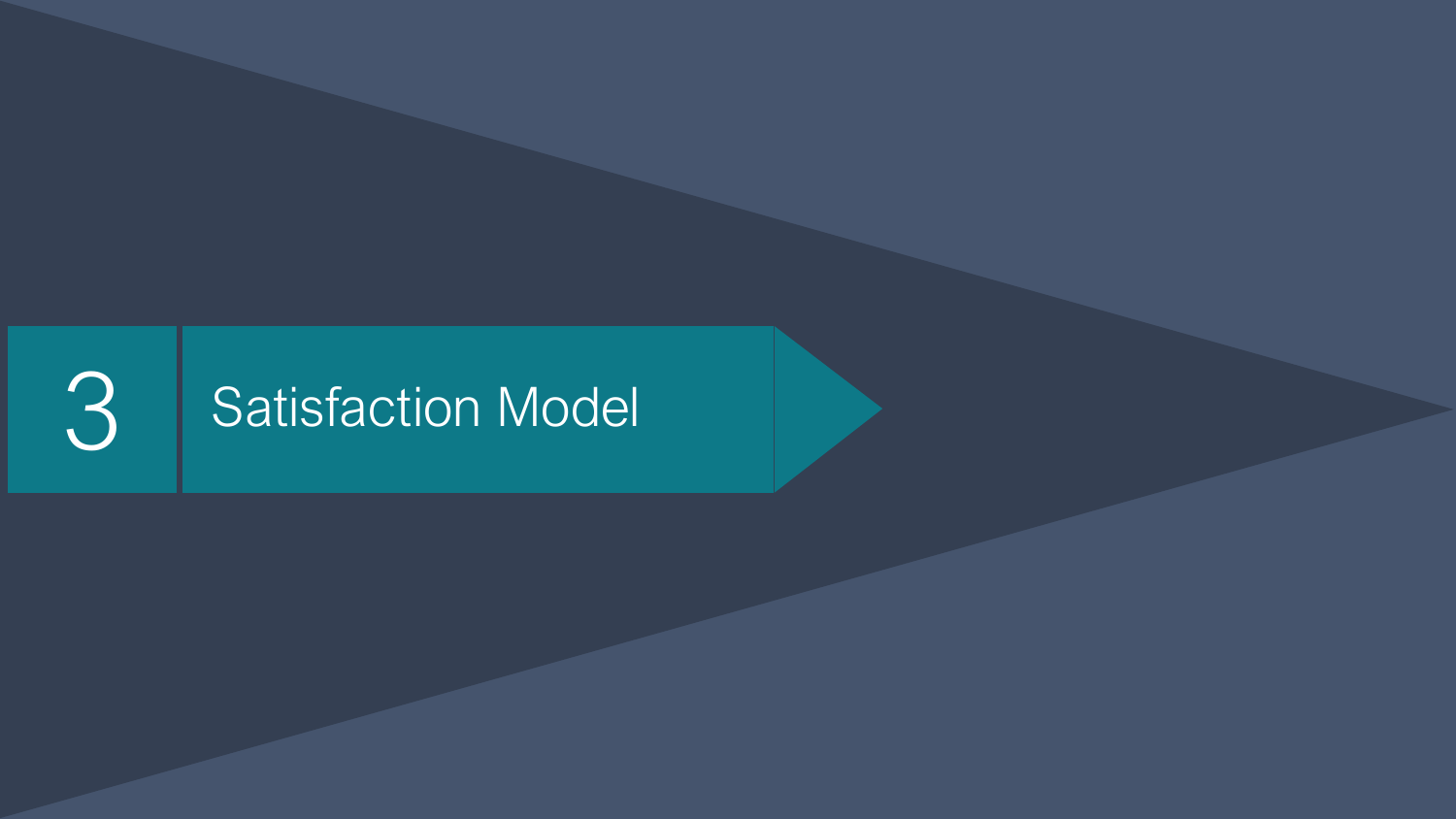## 3 Satisfaction Model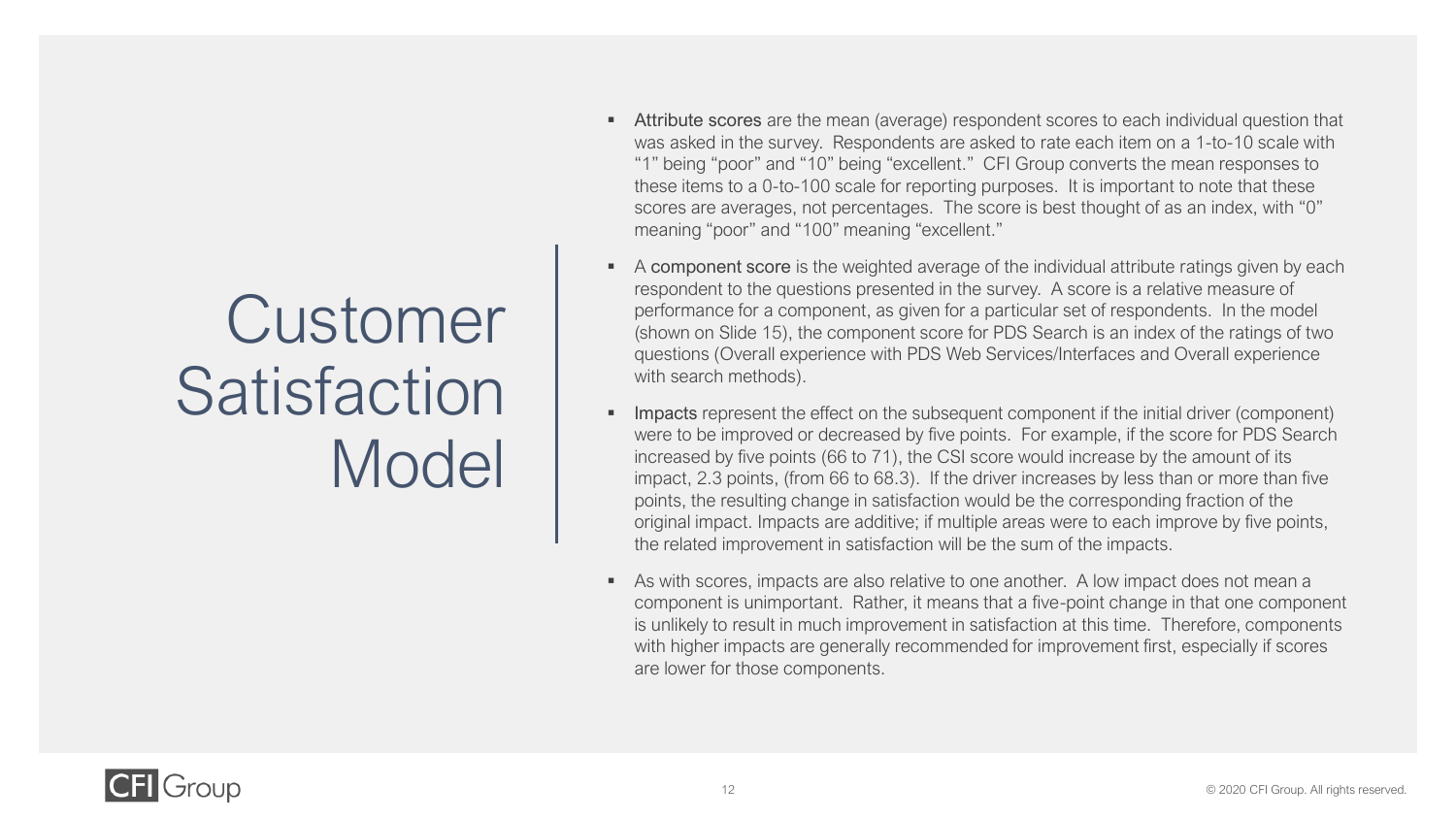### Customer Satisfaction Model

- **EXECT** Attribute scores are the mean (average) respondent scores to each individual question that was asked in the survey. Respondents are asked to rate each item on a 1-to-10 scale with "1" being "poor" and "10" being "excellent." CFI Group converts the mean responses to these items to a 0-to-100 scale for reporting purposes. It is important to note that these scores are averages, not percentages. The score is best thought of as an index, with "0" meaning "poor" and "100" meaning "excellent."
- A component score is the weighted average of the individual attribute ratings given by each respondent to the questions presented in the survey. A score is a relative measure of performance for a component, as given for a particular set of respondents. In the model (shown on Slide 15), the component score for PDS Search is an index of the ratings of two questions (Overall experience with PDS Web Services/Interfaces and Overall experience with search methods).
- **Impacts** represent the effect on the subsequent component if the initial driver (component) were to be improved or decreased by five points. For example, if the score for PDS Search increased by five points (66 to 71), the CSI score would increase by the amount of its impact, 2.3 points, (from 66 to 68.3). If the driver increases by less than or more than five points, the resulting change in satisfaction would be the corresponding fraction of the original impact. Impacts are additive; if multiple areas were to each improve by five points, the related improvement in satisfaction will be the sum of the impacts.
- As with scores, impacts are also relative to one another. A low impact does not mean a component is unimportant. Rather, it means that a five-point change in that one component is unlikely to result in much improvement in satisfaction at this time. Therefore, components with higher impacts are generally recommended for improvement first, especially if scores are lower for those components.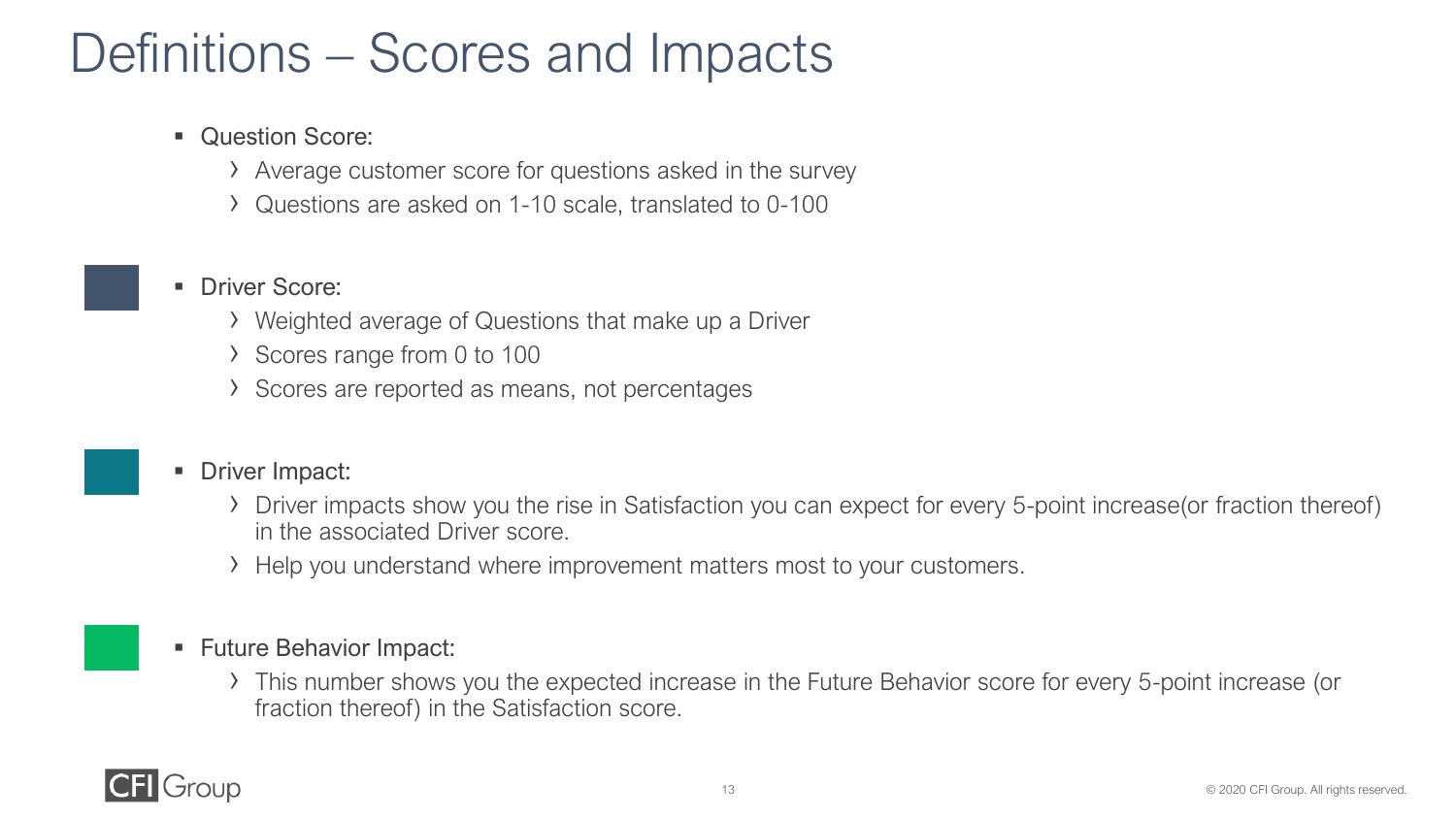### Definitions – Scores and Impacts

- Question Score:
	- › Average customer score for questions asked in the survey
	- › Questions are asked on 1-10 scale, translated to 0-100

#### ■ Driver Score:

- › Weighted average of Questions that make up a Driver
- › Scores range from 0 to 100
- › Scores are reported as means, not percentages

#### ■ Driver Impact:

- › Driver impacts show you the rise in Satisfaction you can expect for every 5-point increase(or fraction thereof) in the associated Driver score.
- › Help you understand where improvement matters most to your customers.

#### ■ Future Behavior Impact:

› This number shows you the expected increase in the Future Behavior score for every 5-point increase (or fraction thereof) in the Satisfaction score.

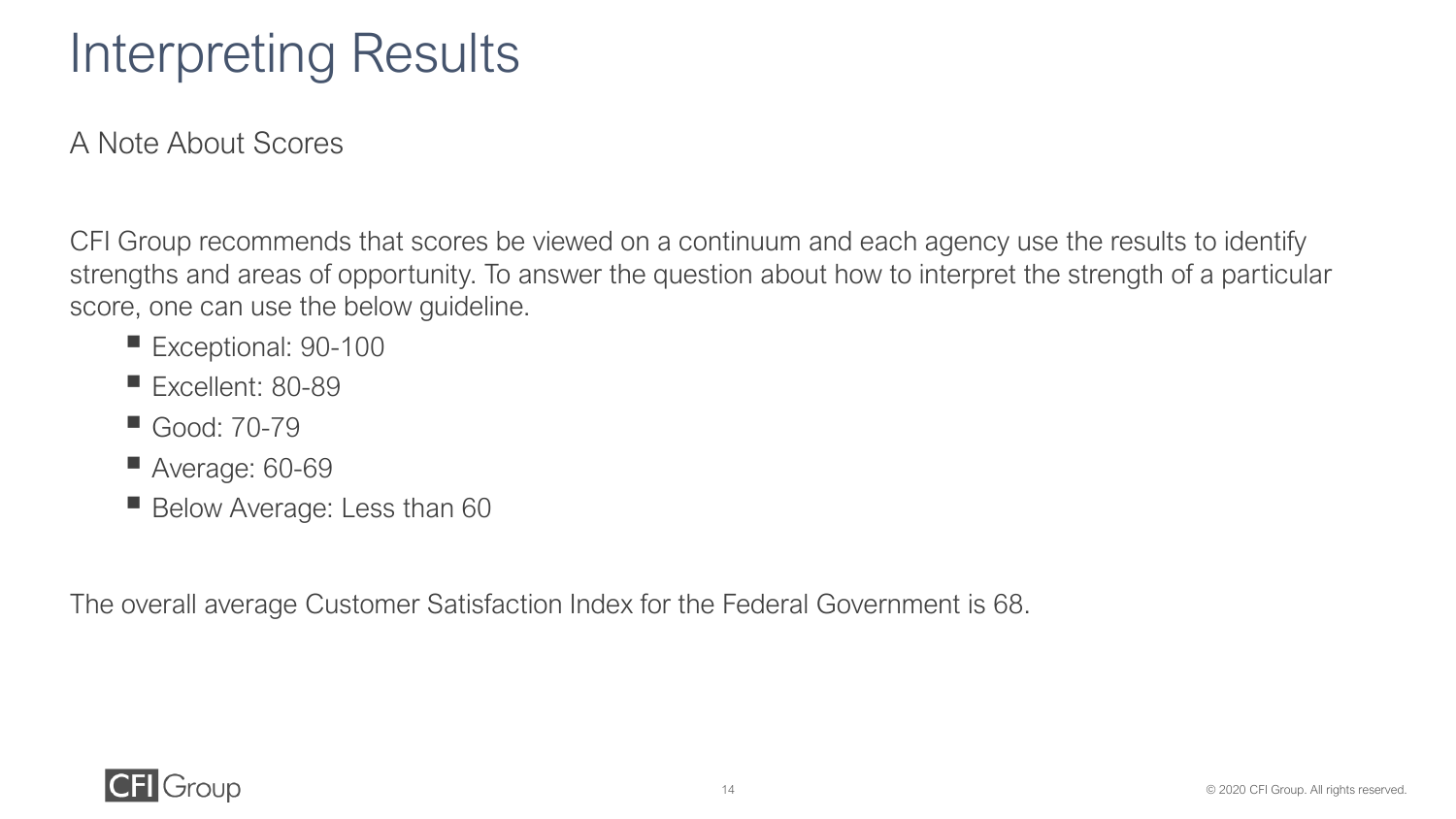### Interpreting Results

A Note About Scores

CFI Group recommends that scores be viewed on a continuum and each agency use the results to identify strengths and areas of opportunity. To answer the question about how to interpret the strength of a particular score, one can use the below guideline.

- Exceptional: 90-100
- Excellent: 80-89
- Good: 70-79
- $\blacksquare$  Average: 60-69
- Below Average: Less than 60

The overall average Customer Satisfaction Index for the Federal Government is 68.

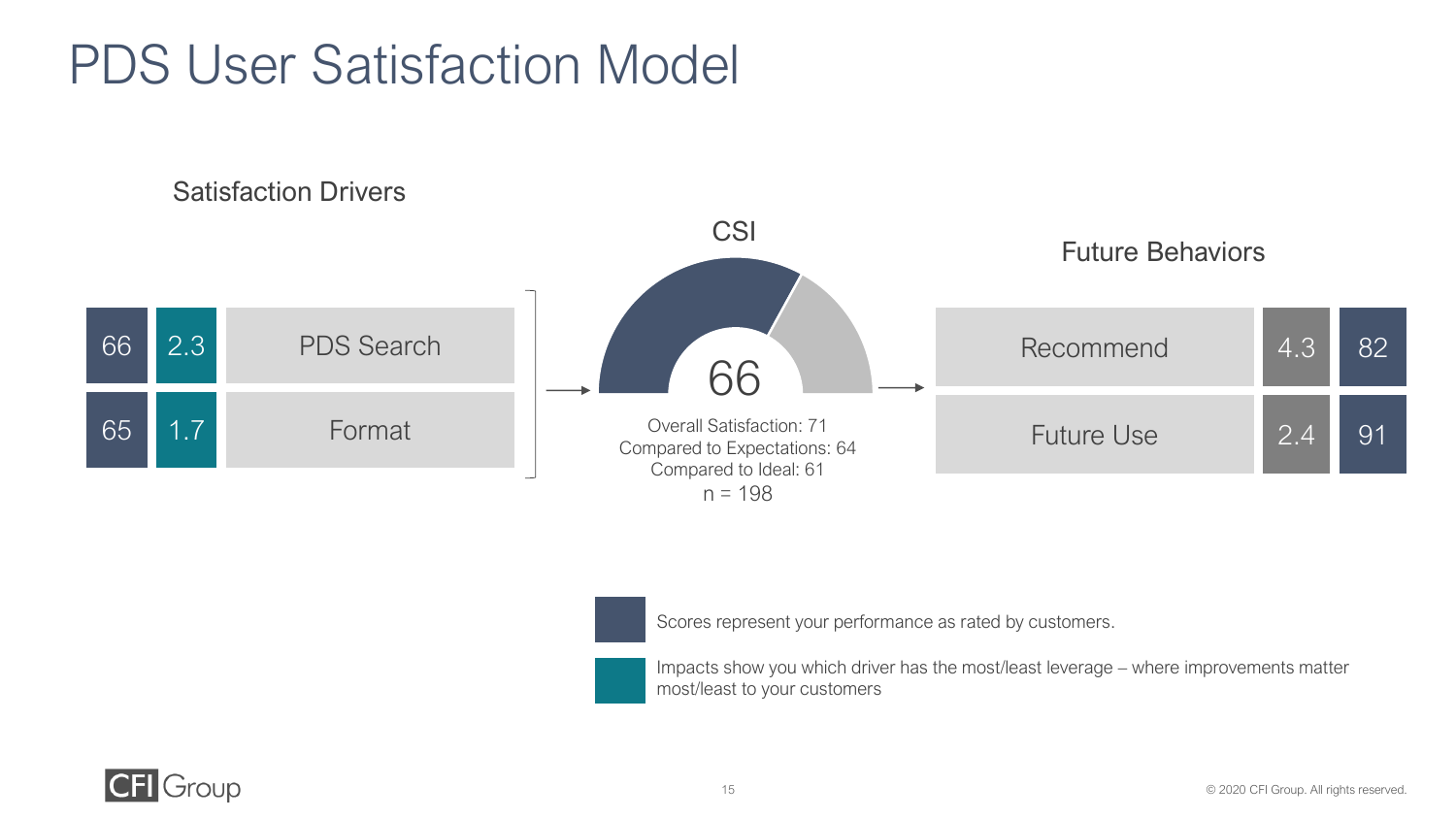### PDS User Satisfaction Model



Scores represent your performance as rated by customers.

Impacts show you which driver has the most/least leverage – where improvements matter most/least to your customers

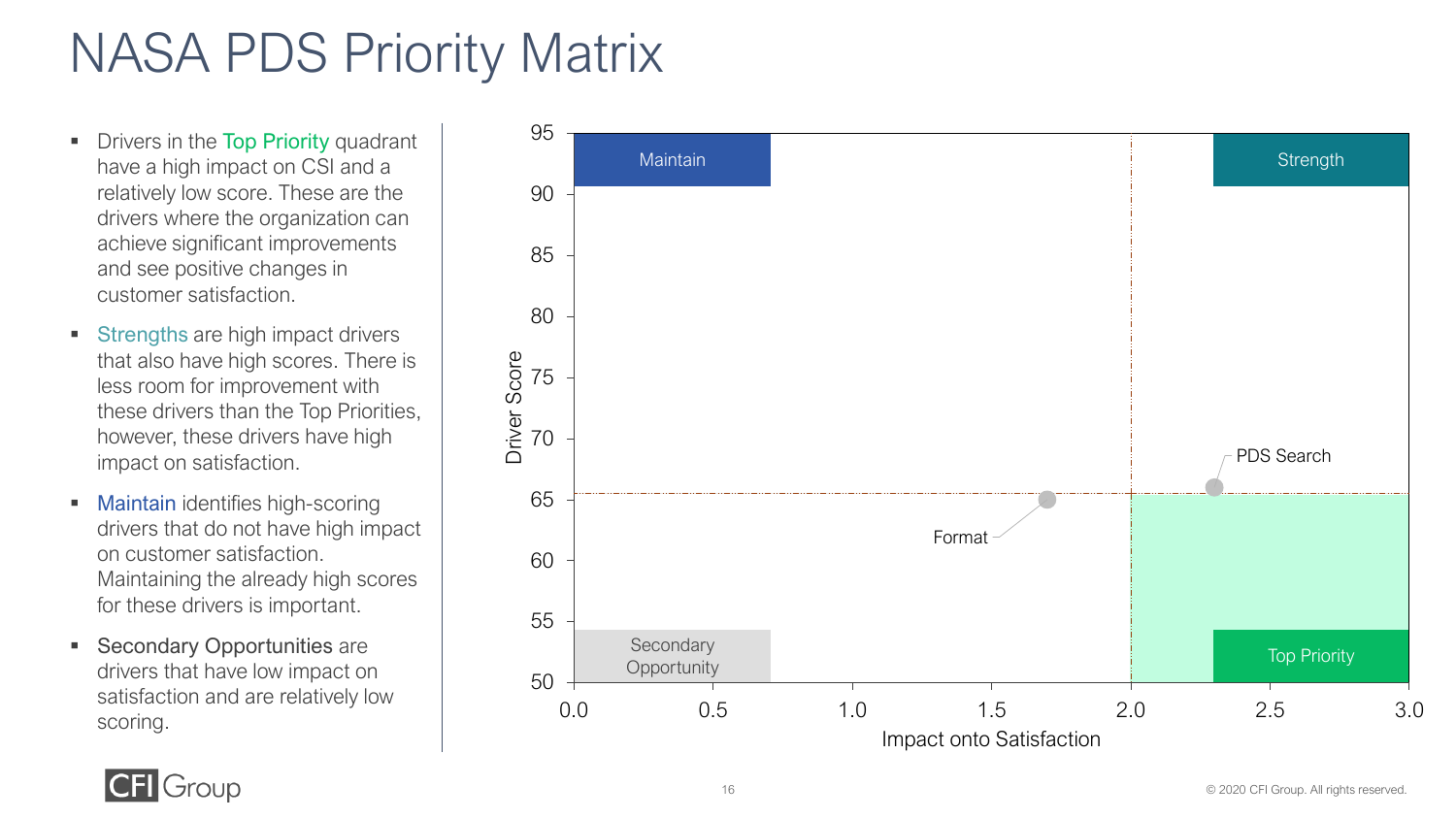### NASA PDS Priority Matrix

- **Drivers in the Top Priority quadrant** have a high impact on CSI and a relatively low score. These are the drivers where the organization can achieve significant improvements and see positive changes in customer satisfaction.
- **EXECUTE:** Strengths are high impact drivers that also have high scores. There is less room for improvement with these drivers than the Top Priorities, however, these drivers have high impact on satisfaction.
- Maintain identifies high-scoring drivers that do not have high impact on customer satisfaction. Maintaining the already high scores for these drivers is important.
- Secondary Opportunities are drivers that have low impact on satisfaction and are relatively low scoring.



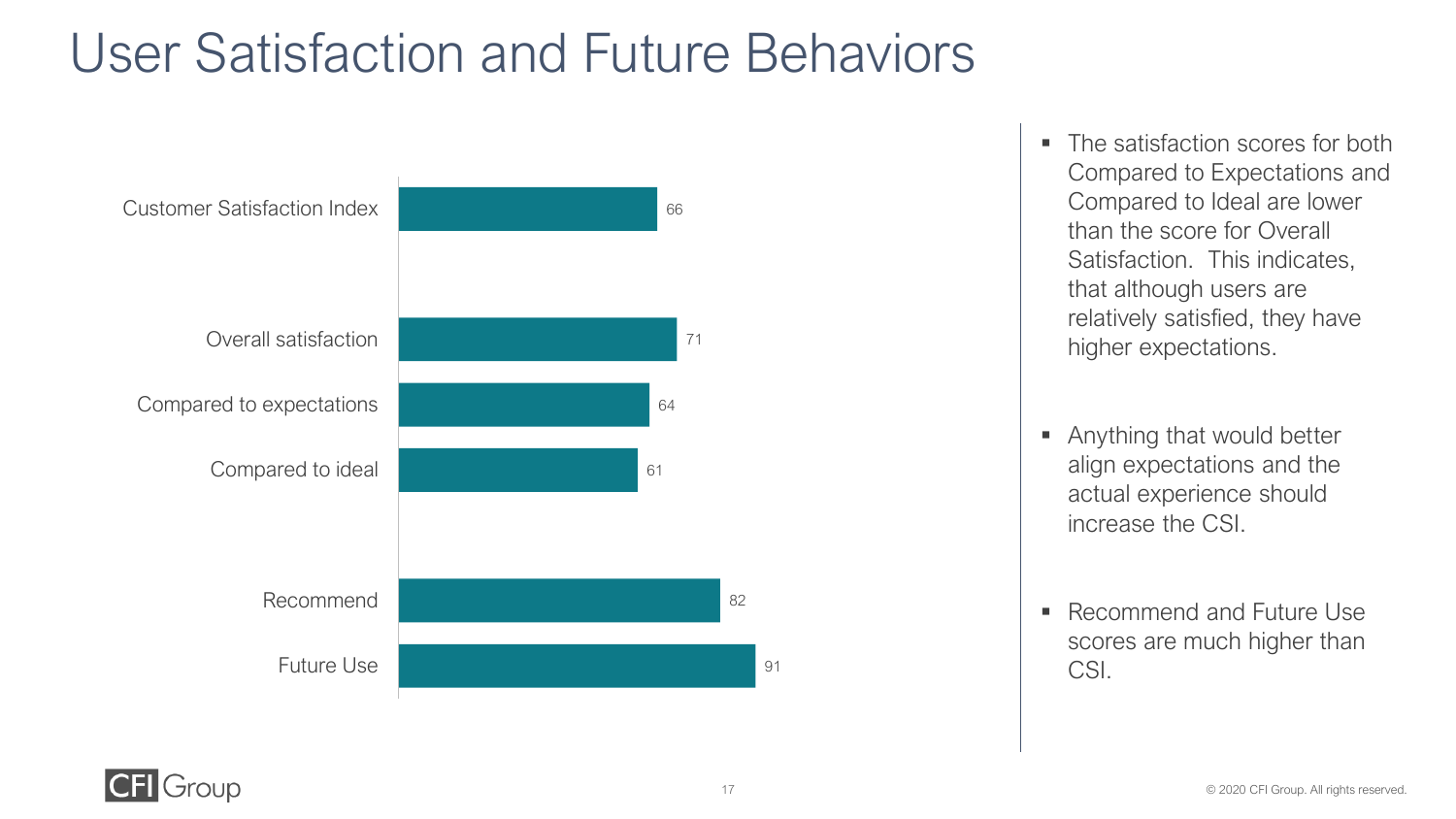### User Satisfaction and Future Behaviors



- The satisfaction scores for both Compared to Expectations and Compared to Ideal are lower than the score for Overall Satisfaction. This indicates, that although users are relatively satisfied, they have higher expectations.
- Anything that would better align expectations and the actual experience should increase the CSI.
- Recommend and Future Use scores are much higher than CSI.

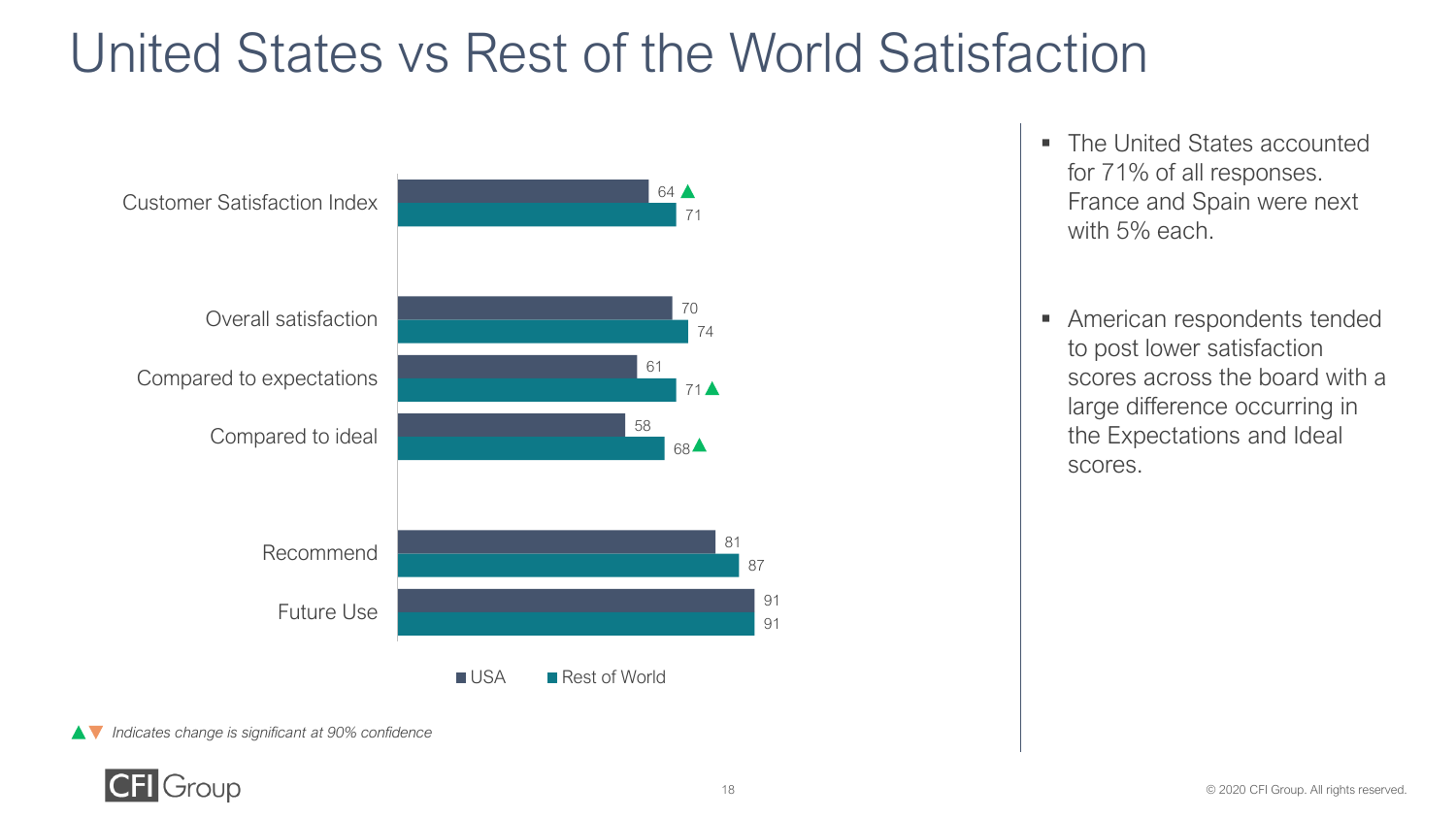### United States vs Rest of the World Satisfaction



- The United States accounted for 71% of all responses. France and Spain were next with 5% each.
- American respondents tended to post lower satisfaction scores across the board with a large difference occurring in the Expectations and Ideal scores.

*Indicates change is significant at 90% confidence*

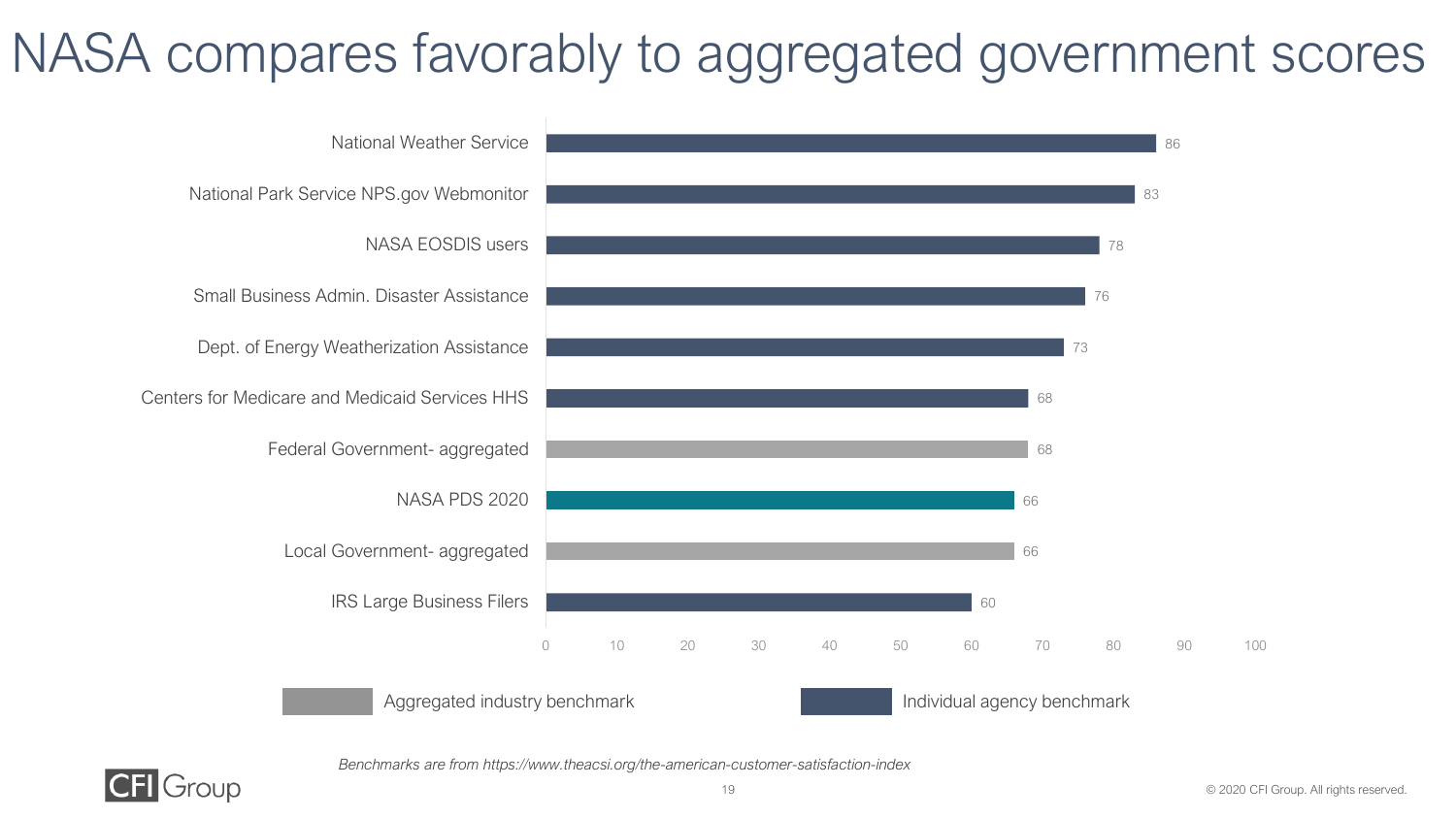### NASA compares favorably to aggregated government scores



*Benchmarks are from https://www.theacsi.org/the-american-customer-satisfaction-index* 

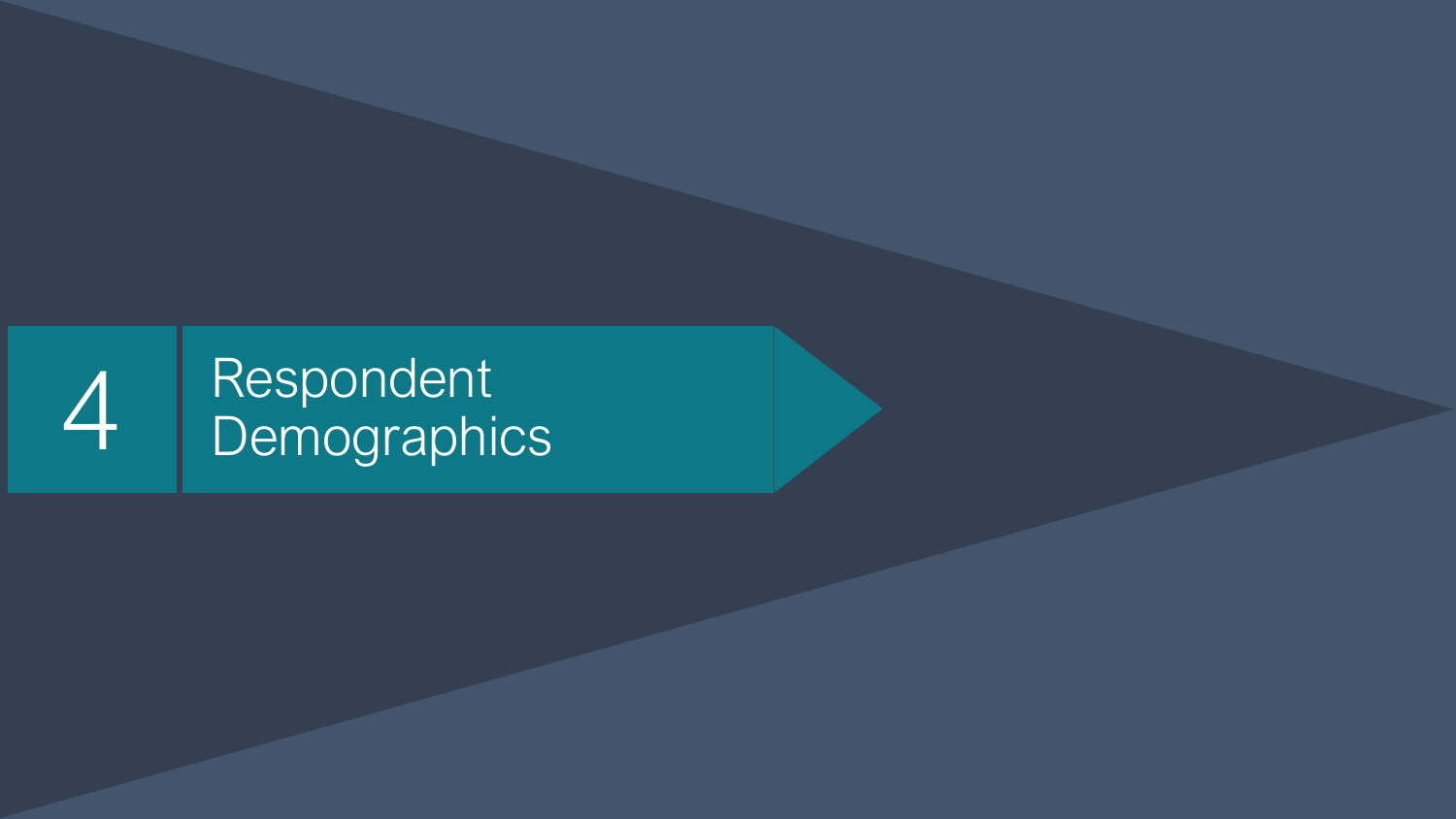# 4 Respondent<br>Demographics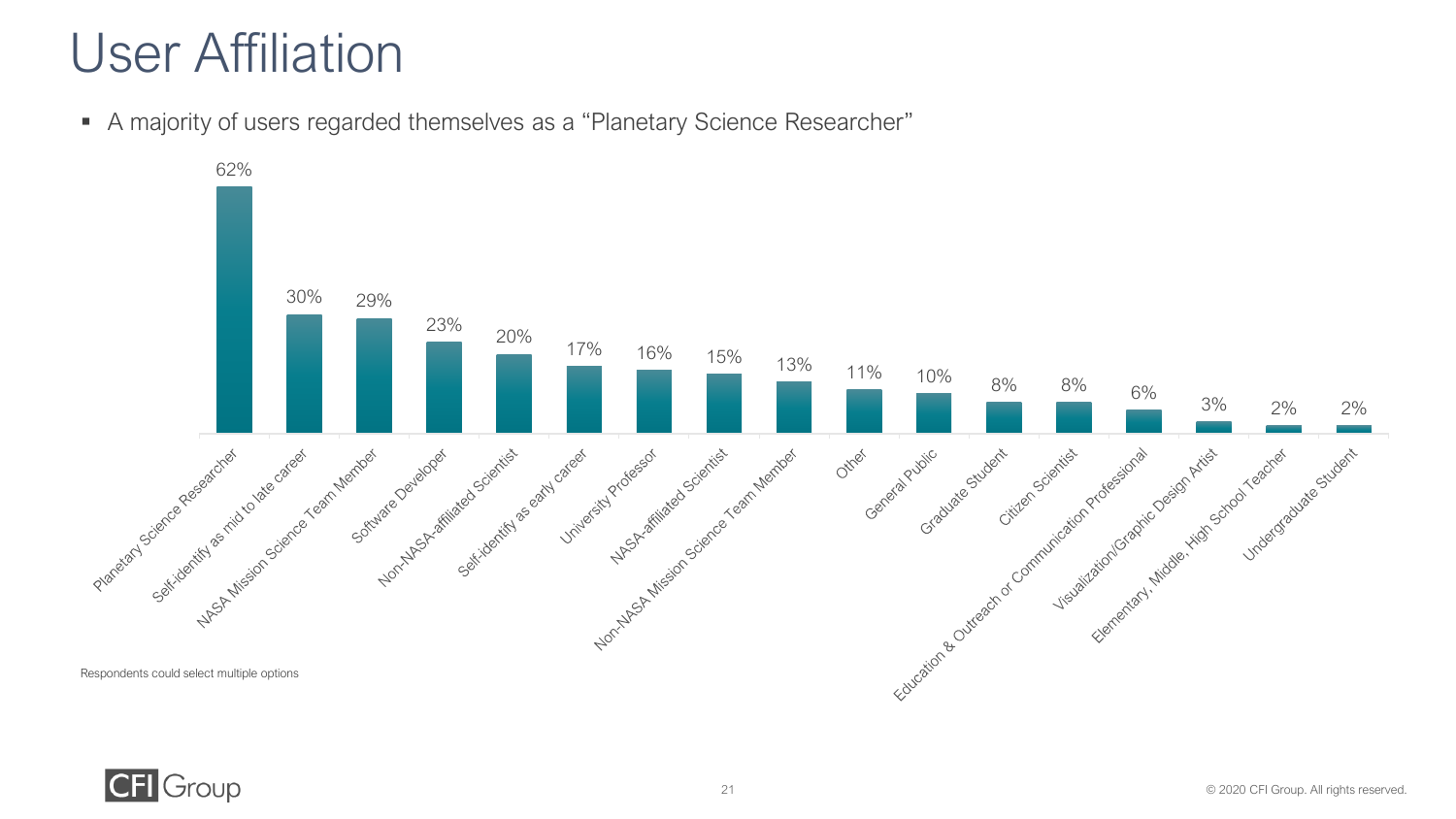### User Affiliation

▪ A majority of users regarded themselves as a "Planetary Science Researcher"



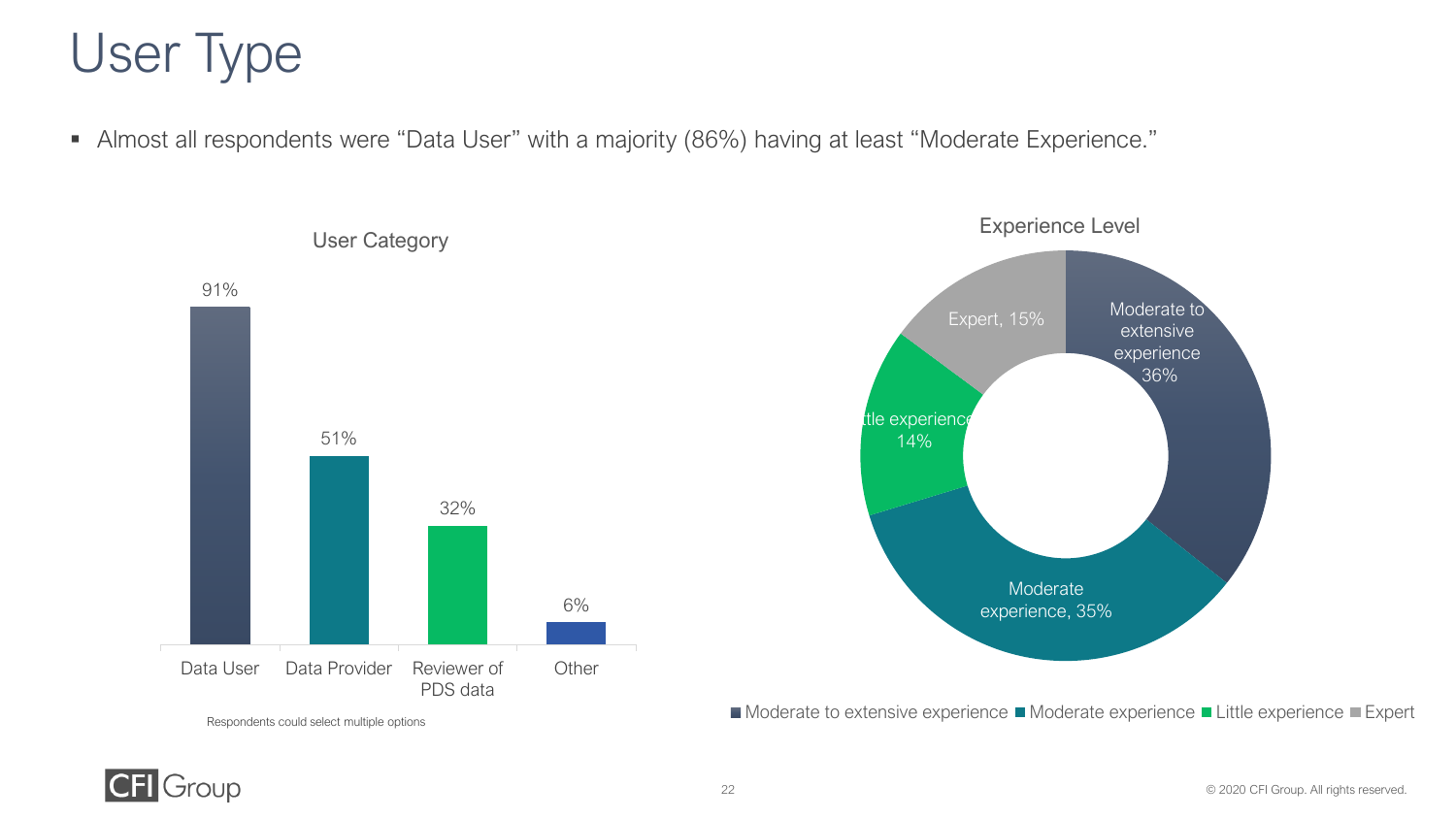### User Type

▪ Almost all respondents were "Data User" with a majority (86%) having at least "Moderate Experience."





■ Moderate to extensive experience ■ Moderate experience ■ Little experience ■ Expert



**CFI** Group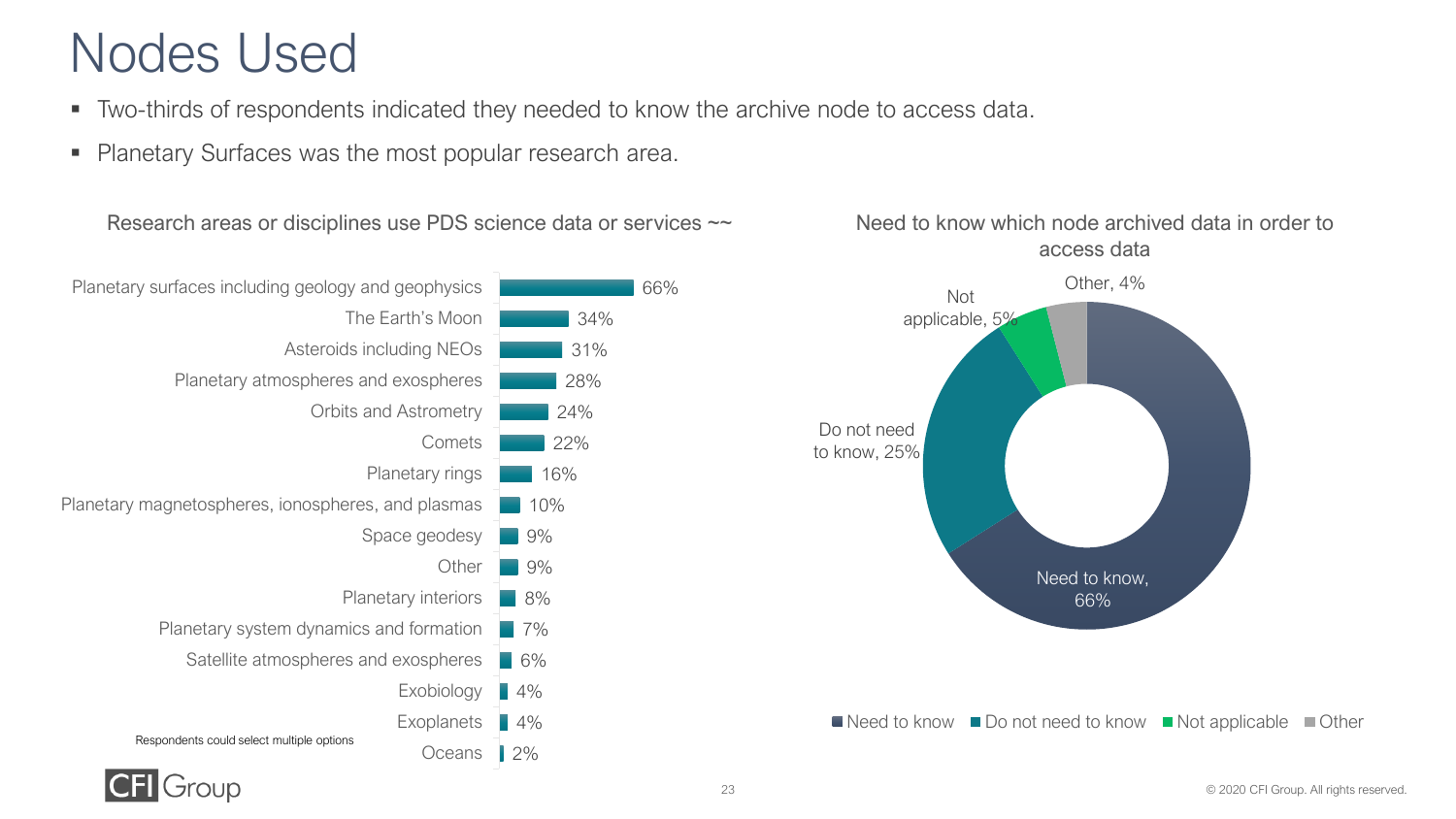### Nodes Used

- Two-thirds of respondents indicated they needed to know the archive node to access data.
- Planetary Surfaces was the most popular research area.

Research areas or disciplines use PDS science data or services  $\sim$ 





#### Need to know which node archived data in order to access data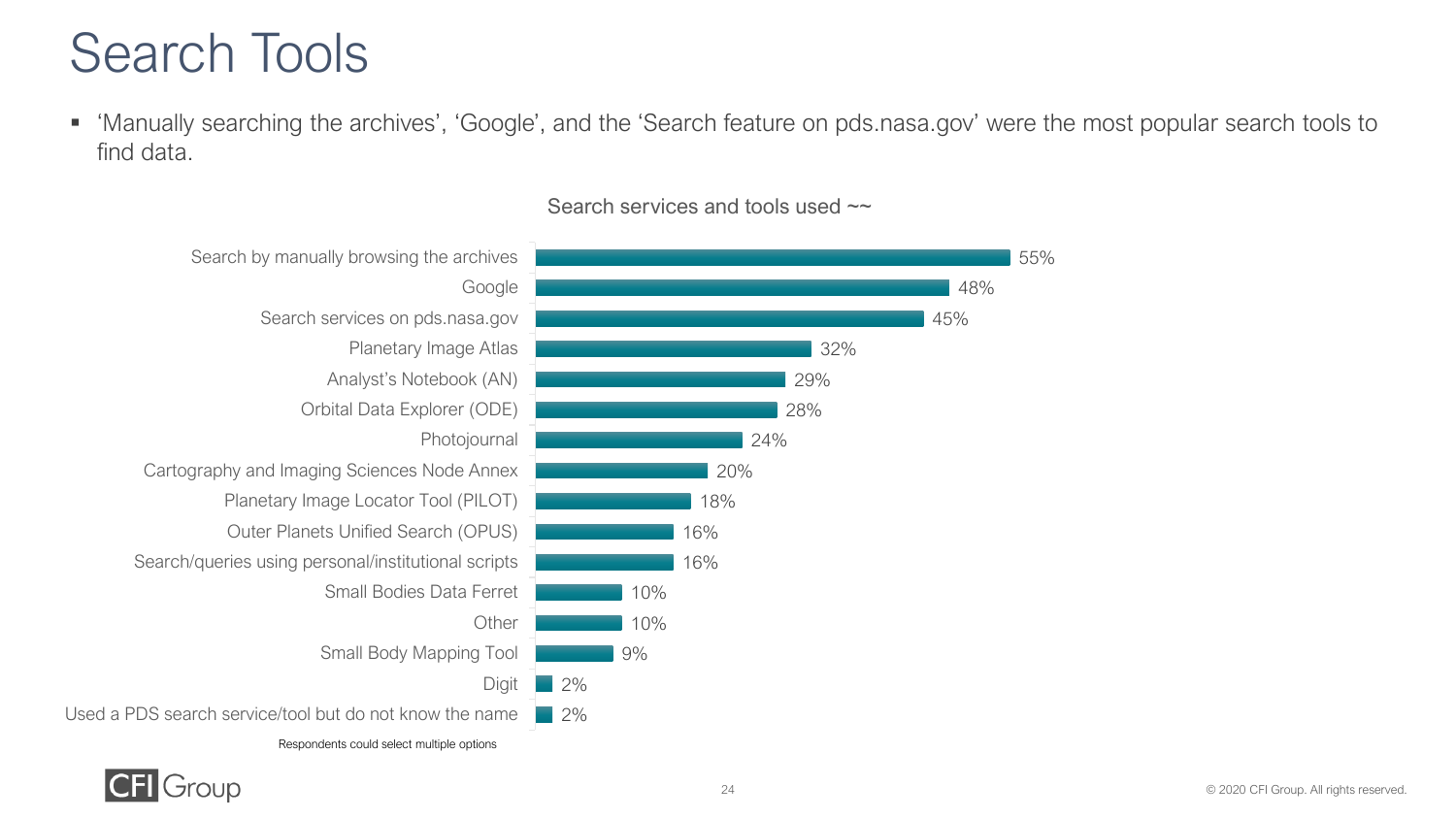### Search Tools

■ 'Manually searching the archives', 'Google', and the 'Search feature on pds.nasa.gov' were the most popular search tools to find data.

![](_page_23_Figure_2.jpeg)

#### Search services and tools used  $\sim$

![](_page_23_Picture_4.jpeg)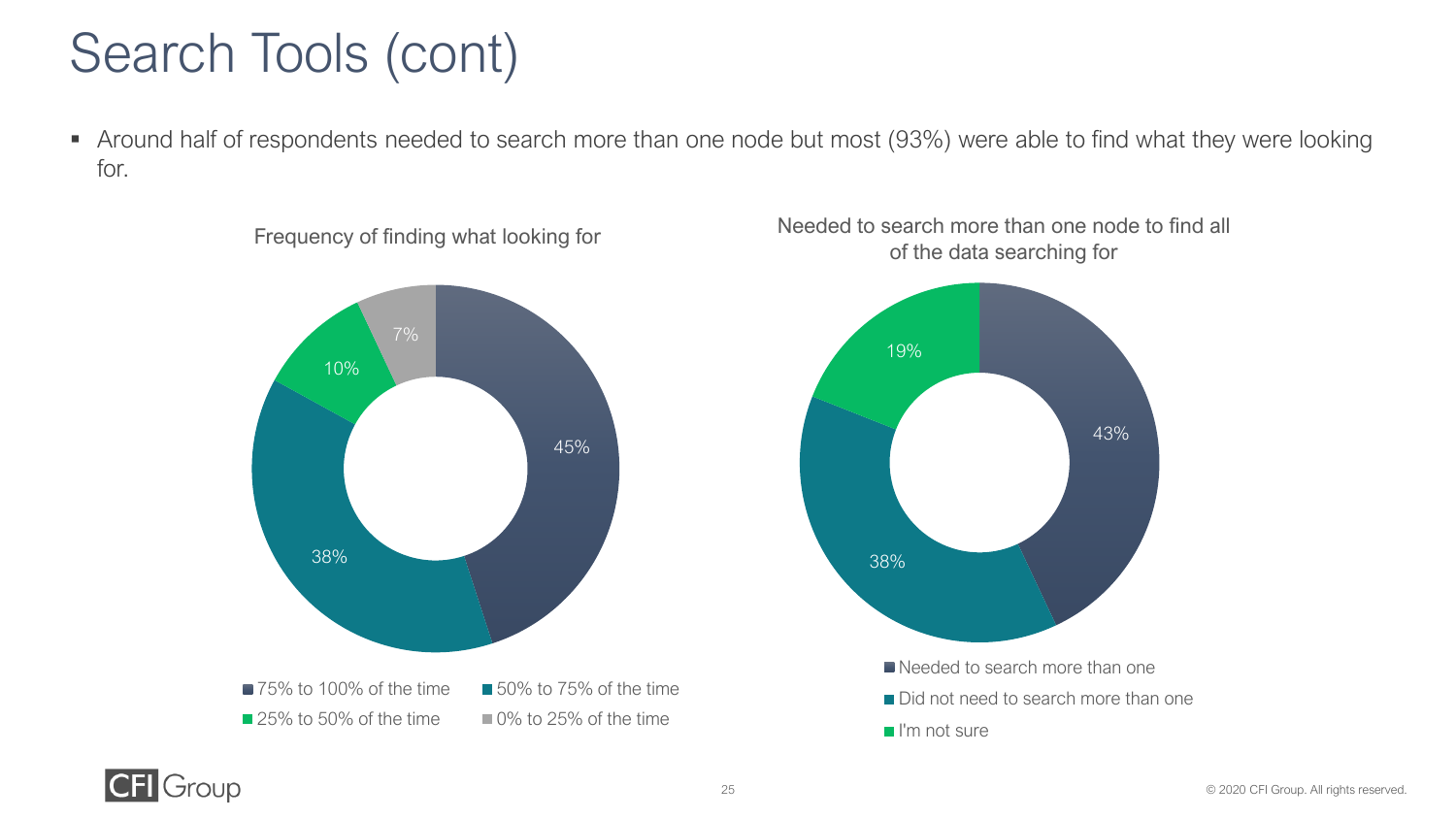### Search Tools (cont)

■ Around half of respondents needed to search more than one node but most (93%) were able to find what they were looking for.

![](_page_24_Figure_2.jpeg)

![](_page_24_Figure_3.jpeg)

![](_page_24_Figure_4.jpeg)

![](_page_24_Picture_5.jpeg)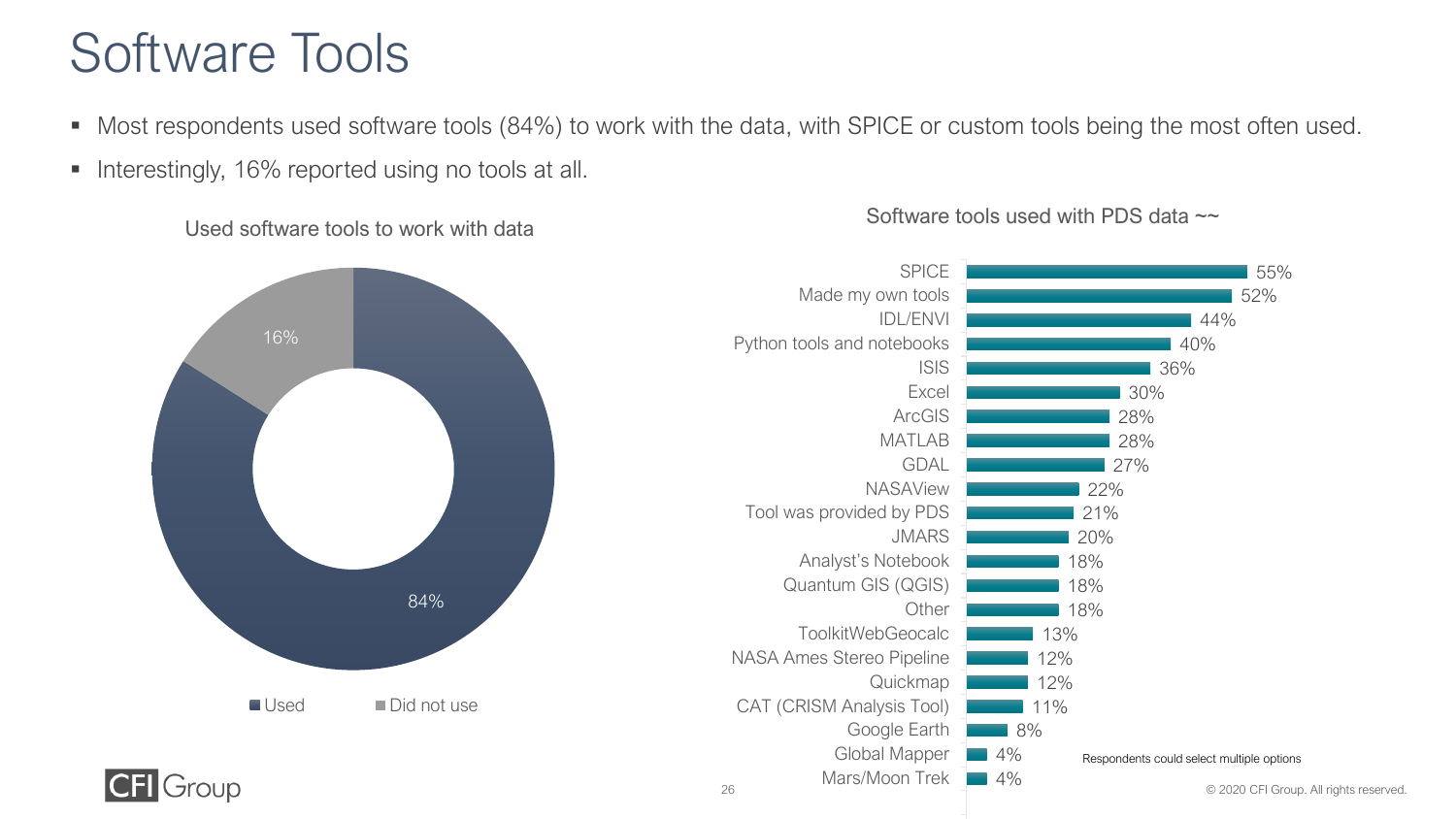### Software Tools

- Most respondents used software tools (84%) to work with the data, with SPICE or custom tools being the most often used.
- Interestingly, 16% reported using no tools at all.

Used software tools to work with data

![](_page_25_Figure_4.jpeg)

#### Software tools used with PDS data  $\sim$

![](_page_25_Figure_6.jpeg)

![](_page_25_Picture_7.jpeg)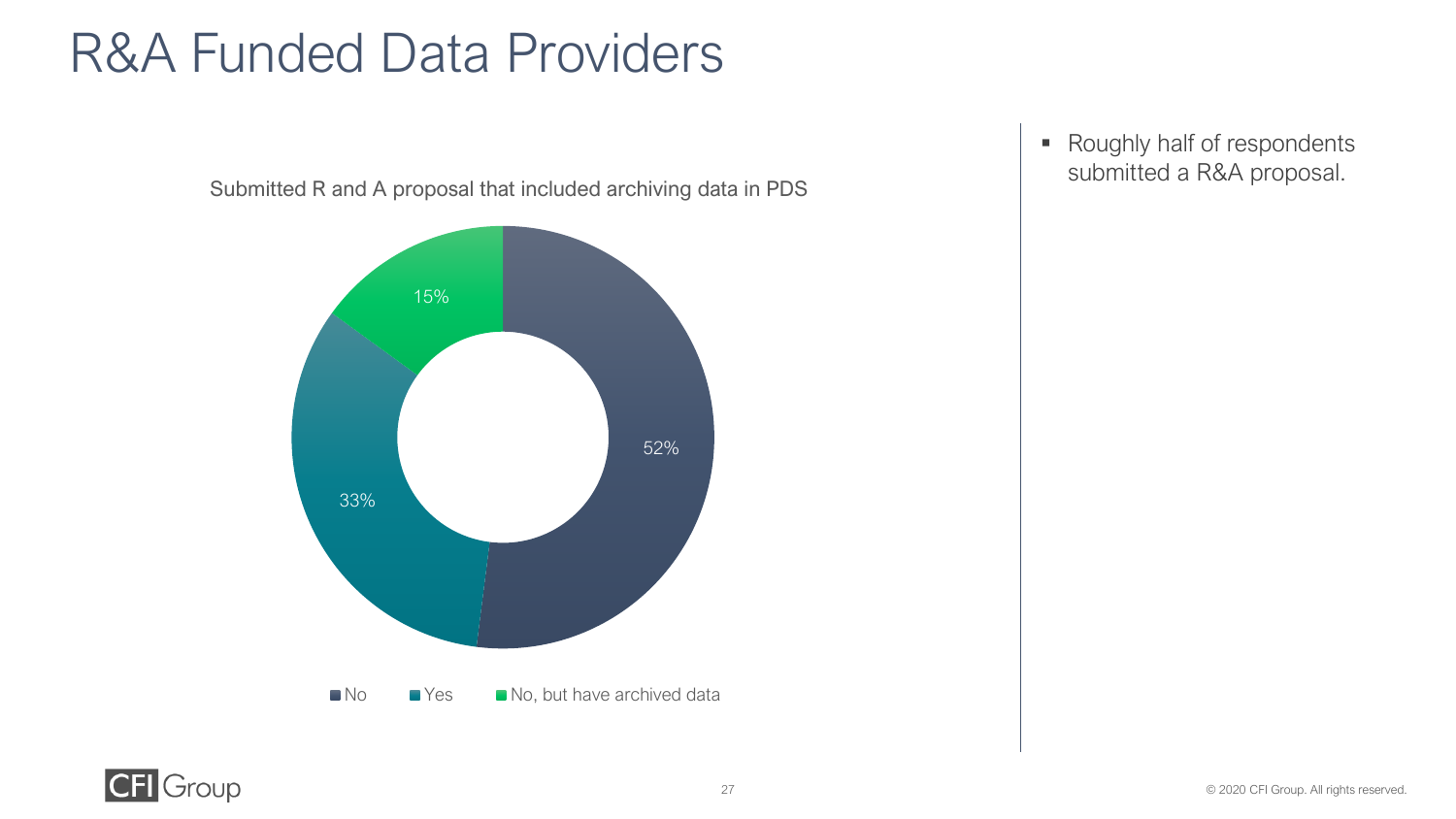### R&A Funded Data Providers

![](_page_26_Figure_1.jpeg)

Submitted R and A proposal that included archiving data in PDS

![](_page_26_Picture_3.jpeg)

■ Roughly half of respondents submitted a R&A proposal.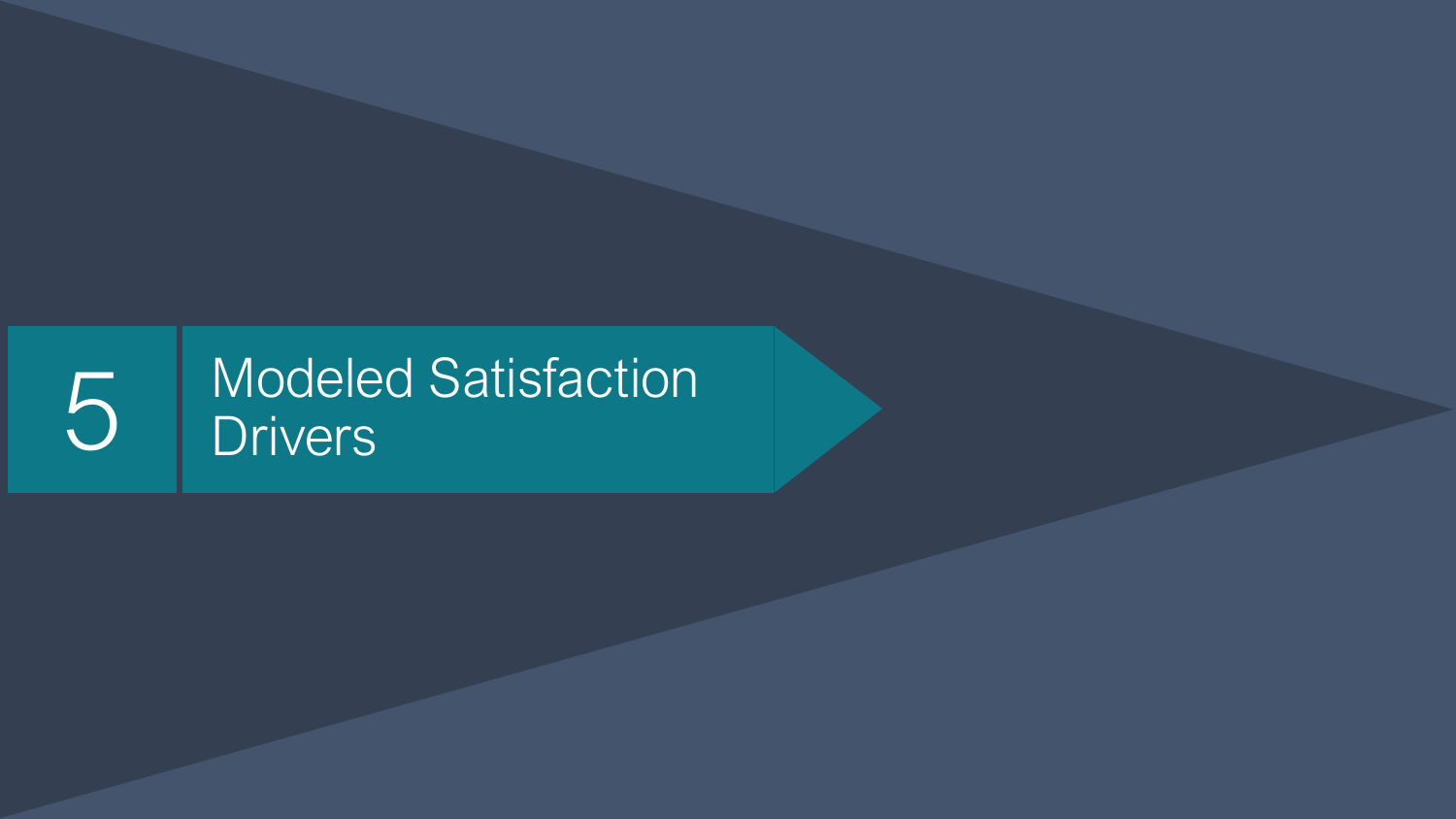## Modeled Satisfaction Drivers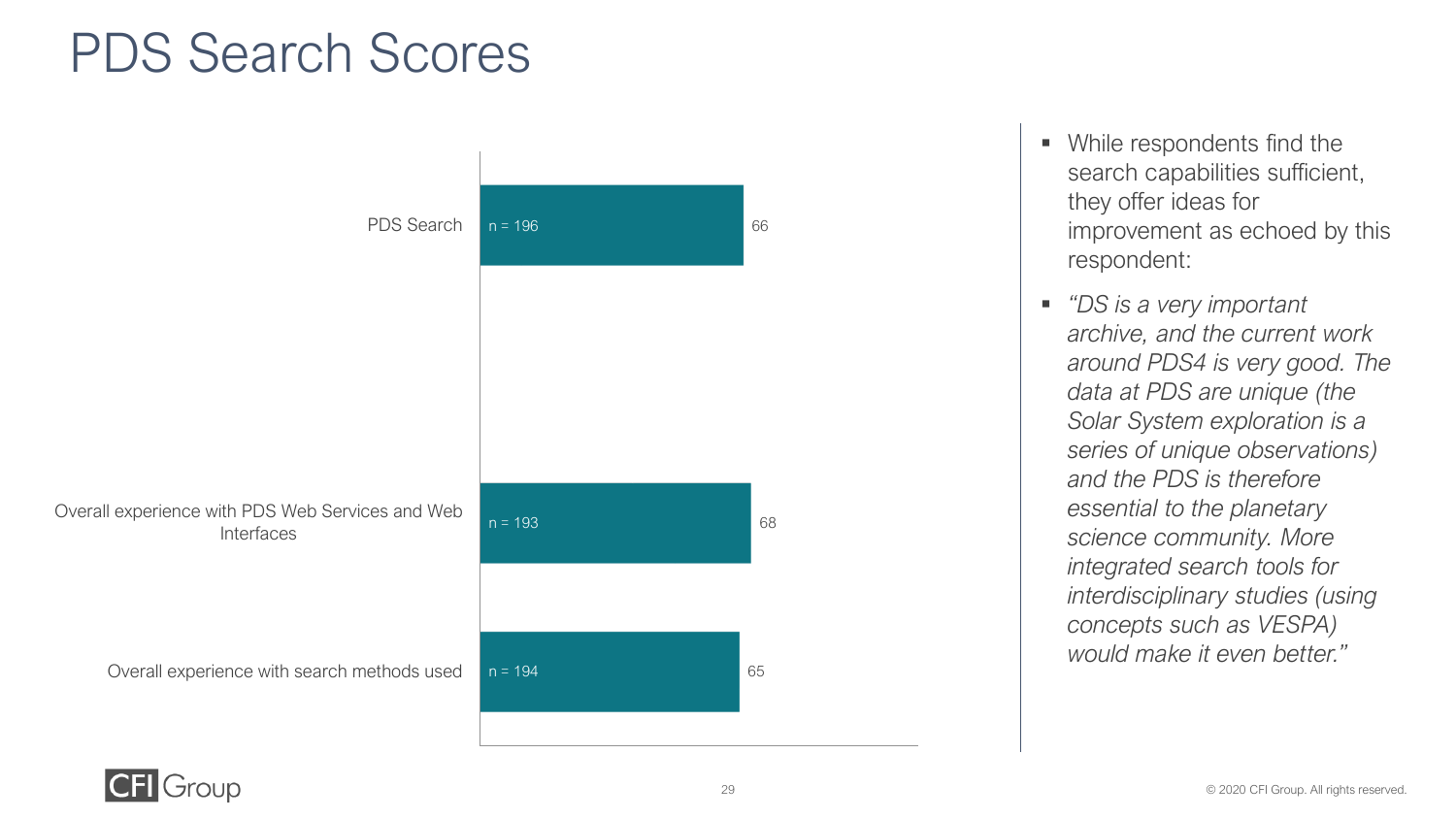### PDS Search Scores

![](_page_28_Figure_1.jpeg)

- While respondents find the search capabilities sufficient, they offer ideas for improvement as echoed by this respondent:
- *"DS is a very important archive, and the current work around PDS4 is very good. The data at PDS are unique (the Solar System exploration is a series of unique observations) and the PDS is therefore essential to the planetary science community. More integrated search tools for interdisciplinary studies (using concepts such as VESPA) would make it even better."*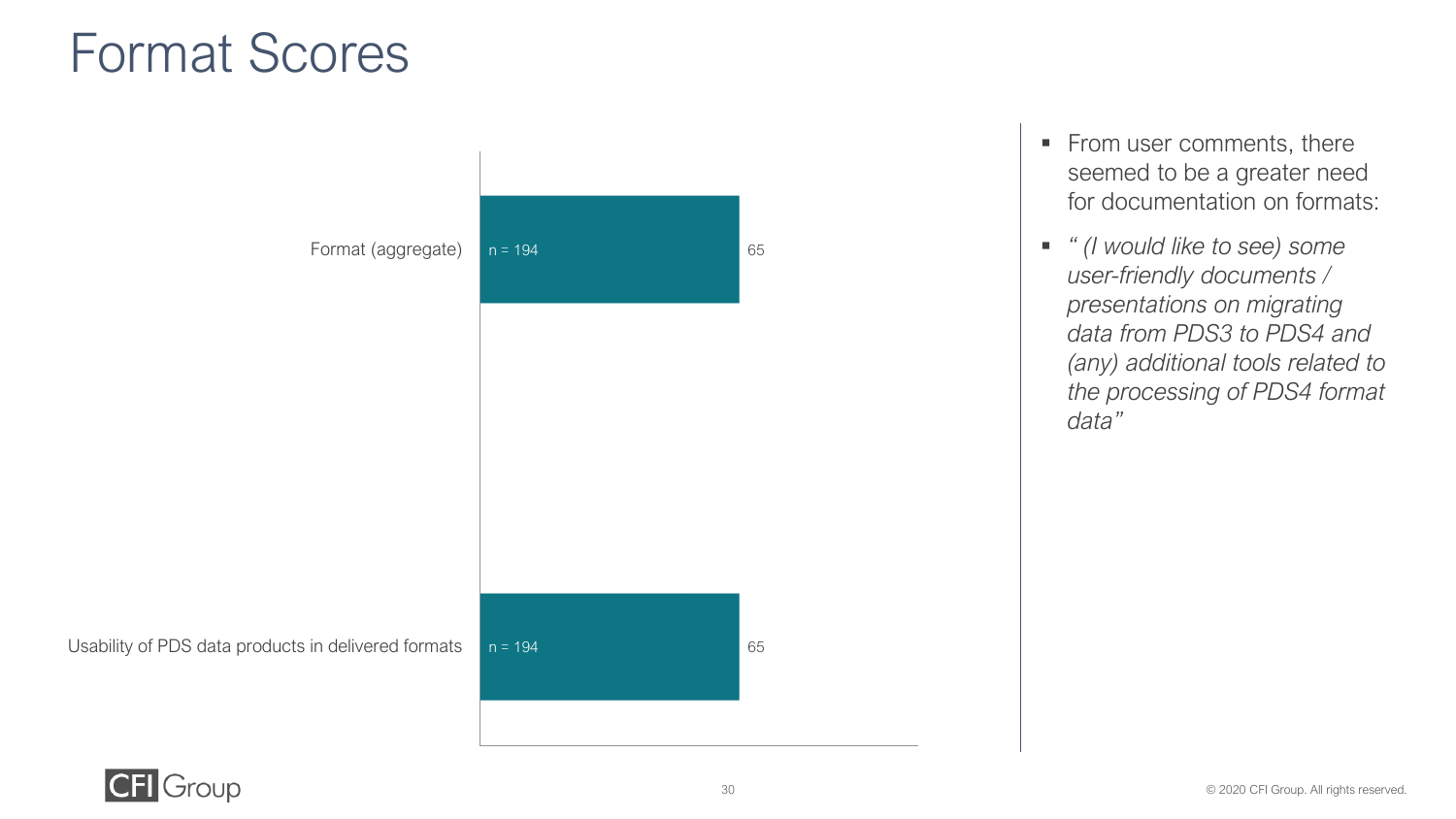### Format Scores

![](_page_29_Figure_1.jpeg)

- From user comments, there seemed to be a greater need for documentation on formats:
- *" (I would like to see) some user-friendly documents / presentations on migrating data from PDS3 to PDS4 and (any) additional tools related to the processing of PDS4 format data"*

![](_page_29_Picture_4.jpeg)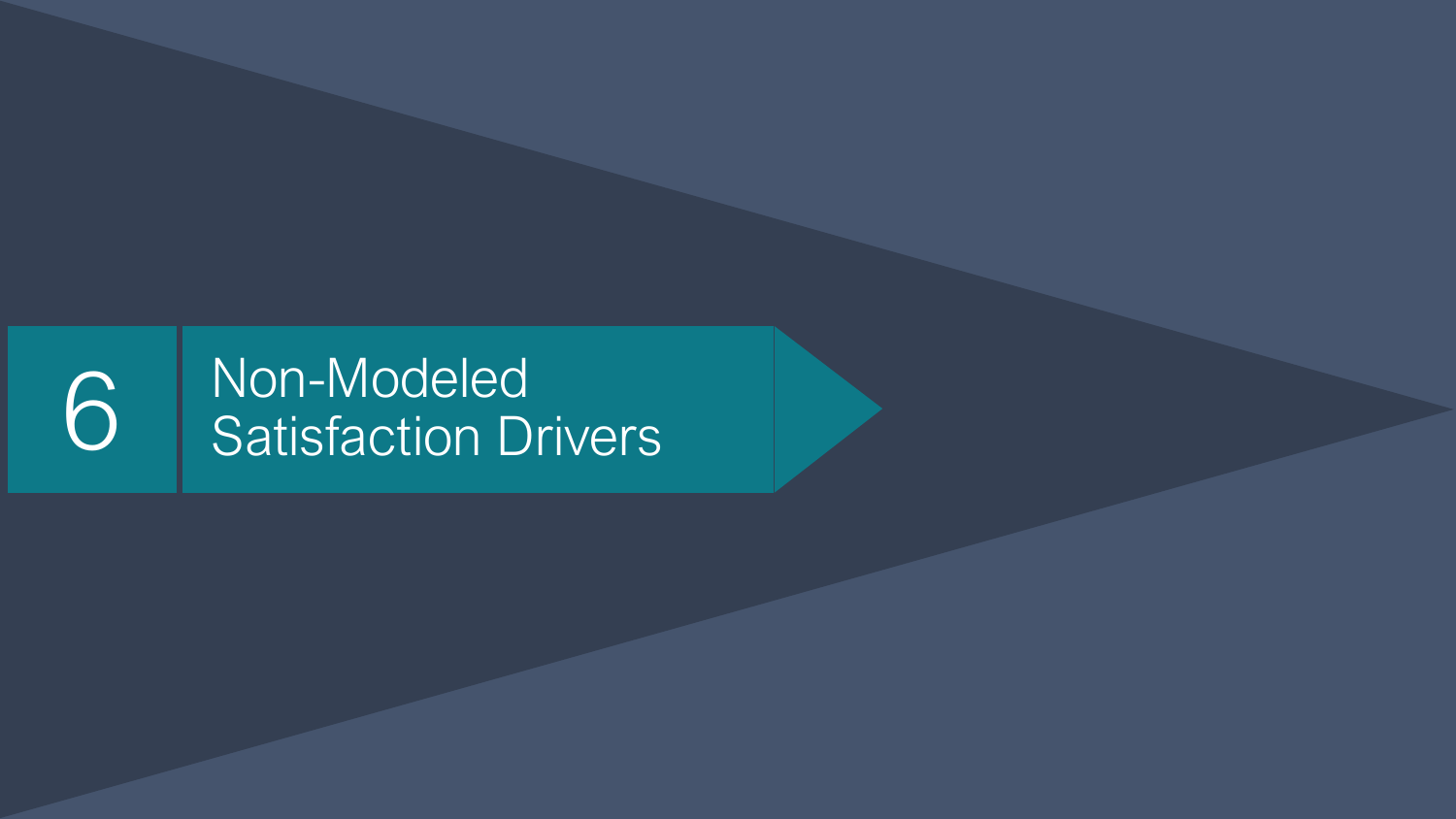# 6 Non-Modeled<br>Satisfaction Drivers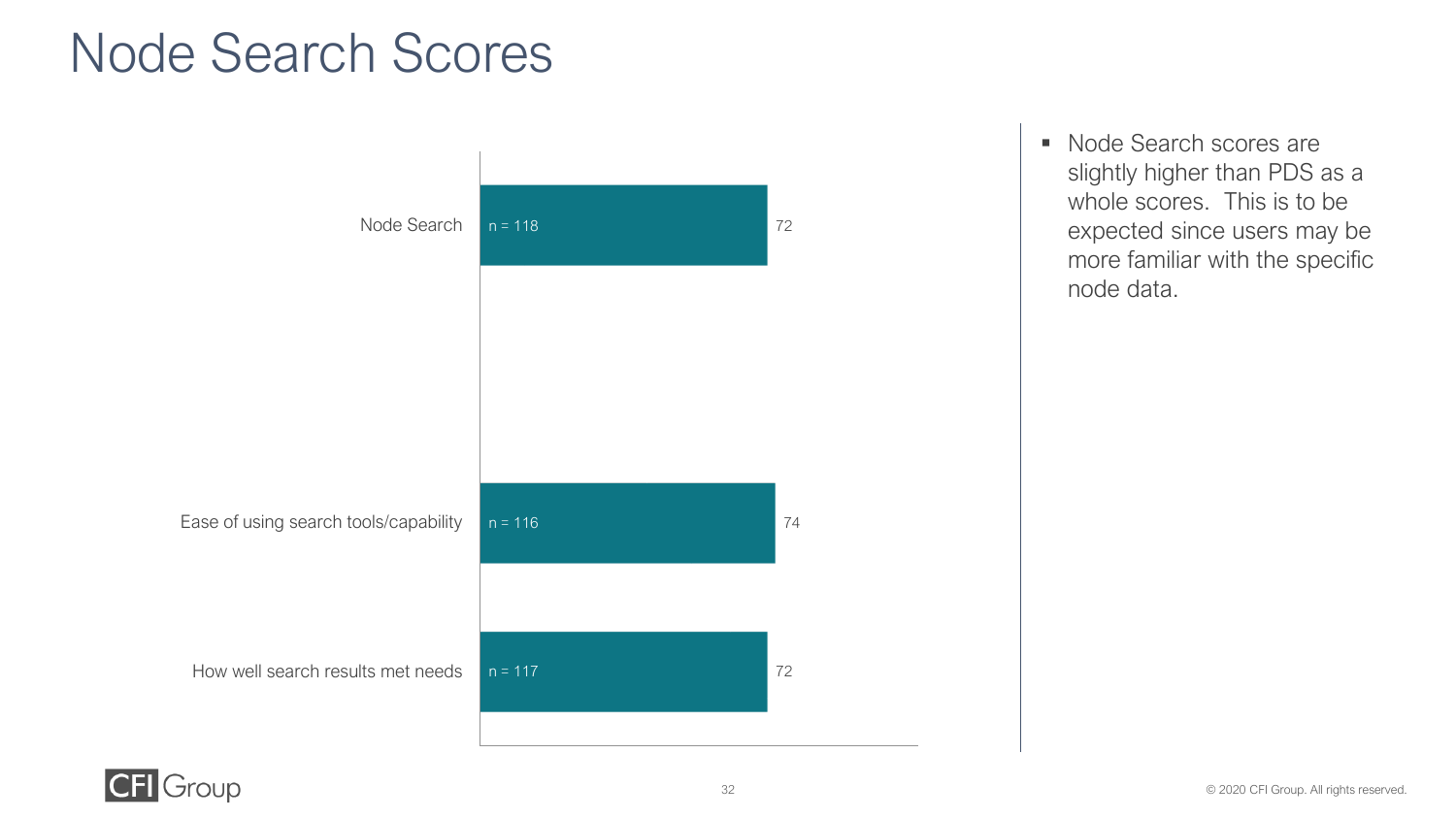### Node Search Scores

![](_page_31_Figure_1.jpeg)

■ Node Search scores are slightly higher than PDS as a whole scores. This is to be expected since users may be more familiar with the specific node data.

![](_page_31_Picture_3.jpeg)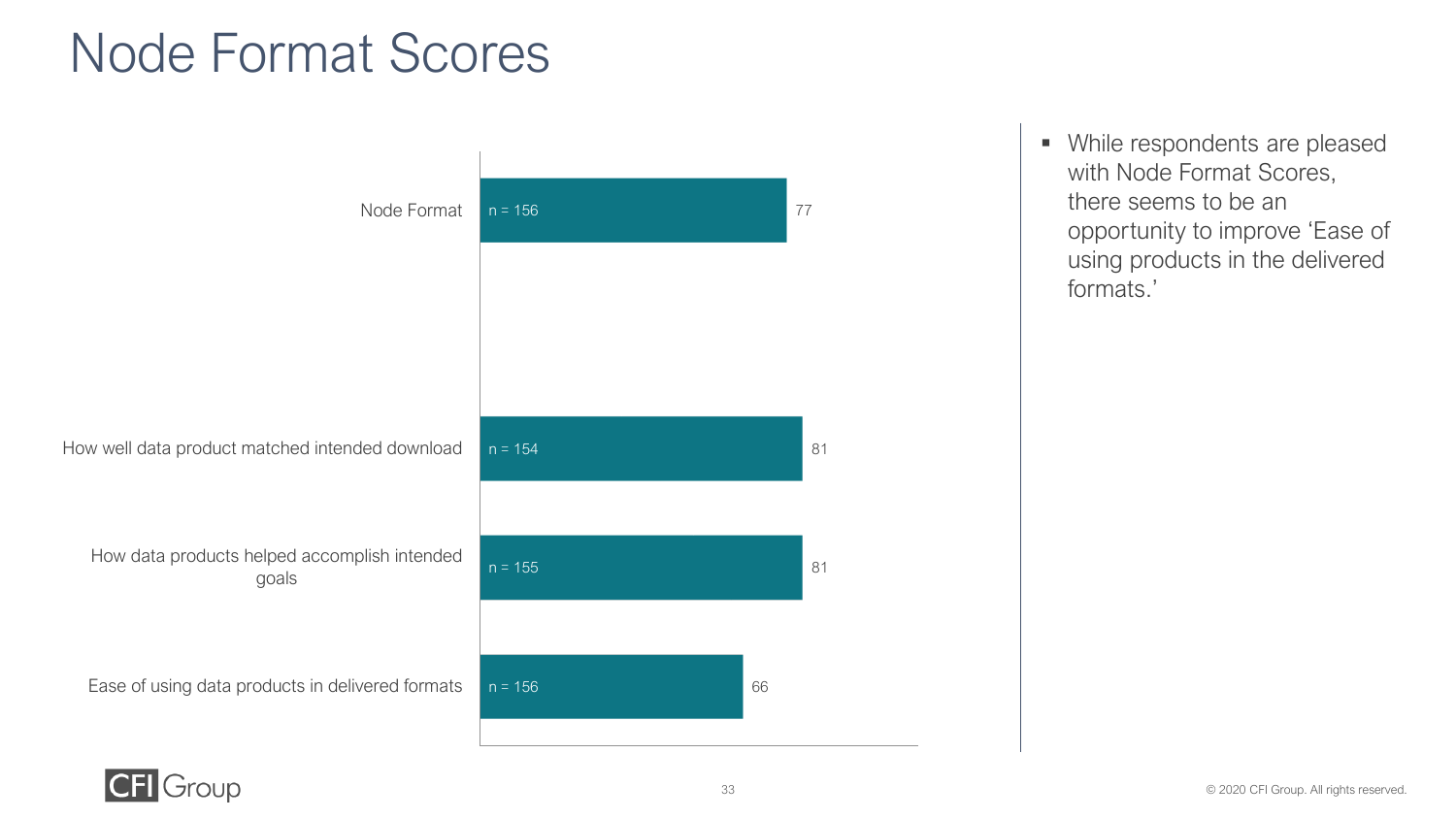### Node Format Scores

![](_page_32_Figure_1.jpeg)

▪ While respondents are pleased with Node Format Scores, there seems to be an opportunity to improve 'Ease of using products in the delivered formats.'

![](_page_32_Picture_4.jpeg)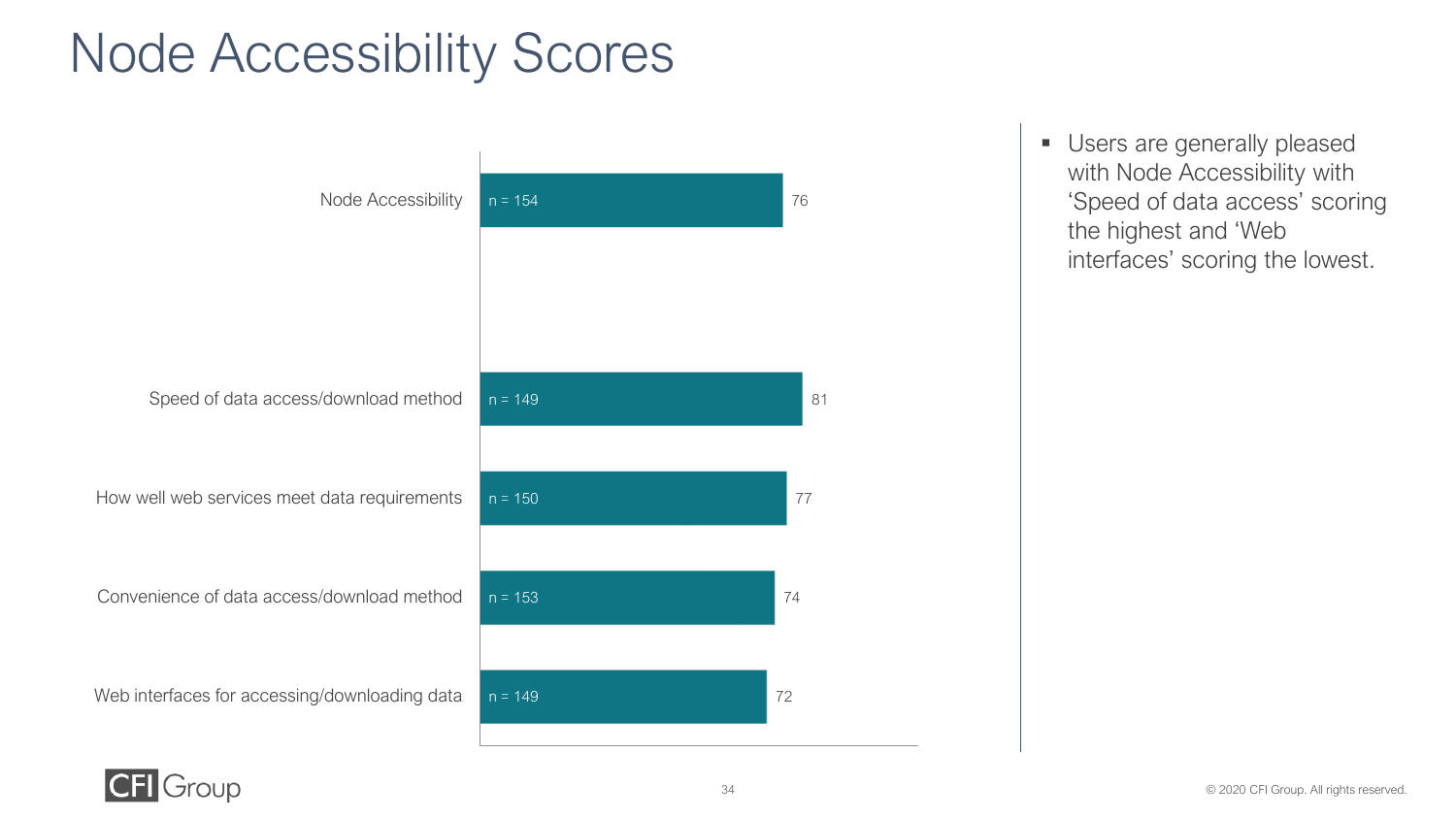### Node Accessibility Scores

![](_page_33_Figure_1.jpeg)

**■** Users are generally pleased with Node Accessibility with 'Speed of data access' scoring the highest and 'Web interfaces' scoring the lowest.

![](_page_33_Picture_3.jpeg)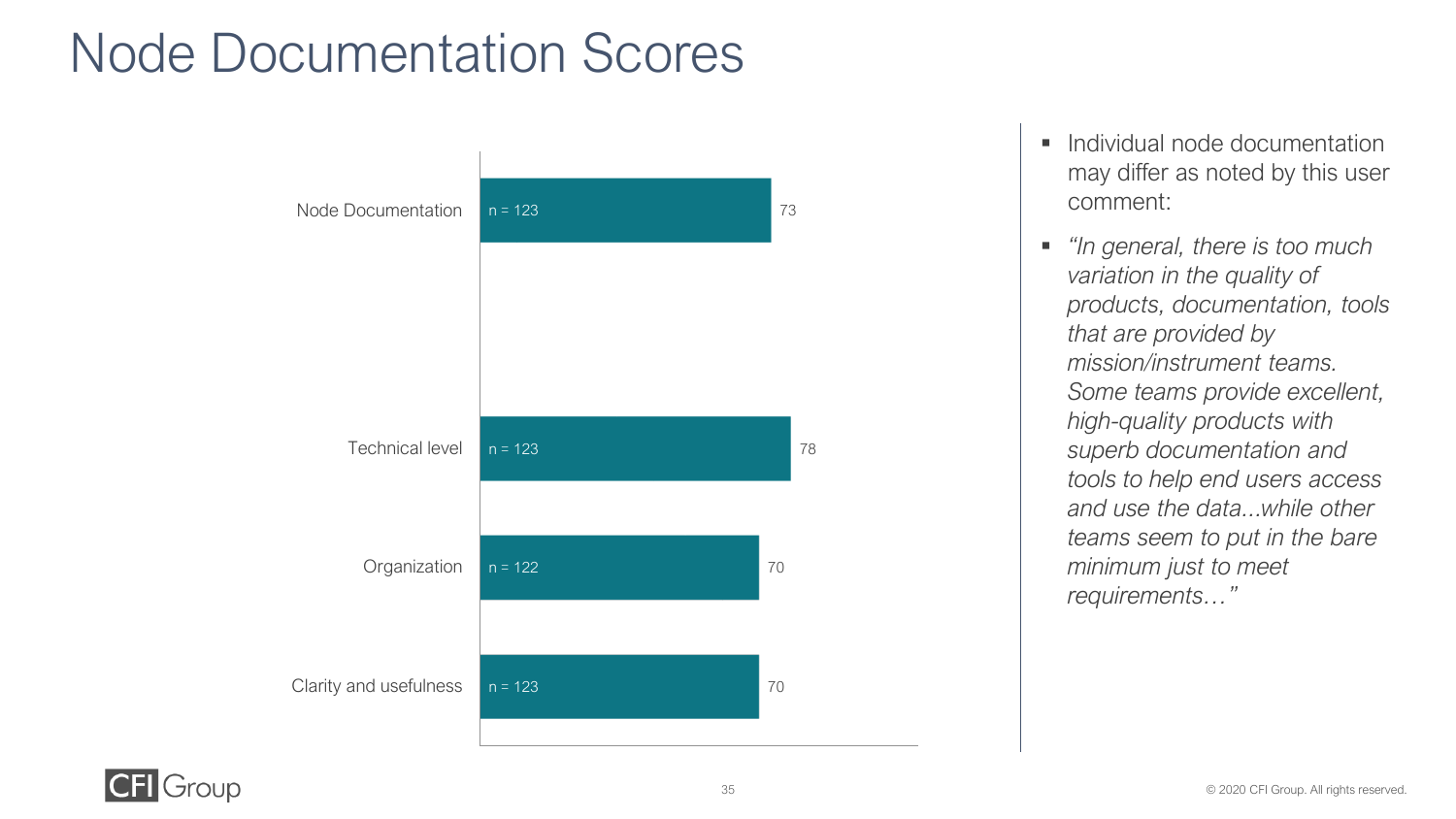### Node Documentation Scores

![](_page_34_Figure_1.jpeg)

- Individual node documentation may differ as noted by this user comment:
- *"In general, there is too much variation in the quality of products, documentation, tools that are provided by mission/instrument teams. Some teams provide excellent, high-quality products with superb documentation and tools to help end users access and use the data...while other teams seem to put in the bare minimum just to meet requirements…"*

![](_page_34_Picture_4.jpeg)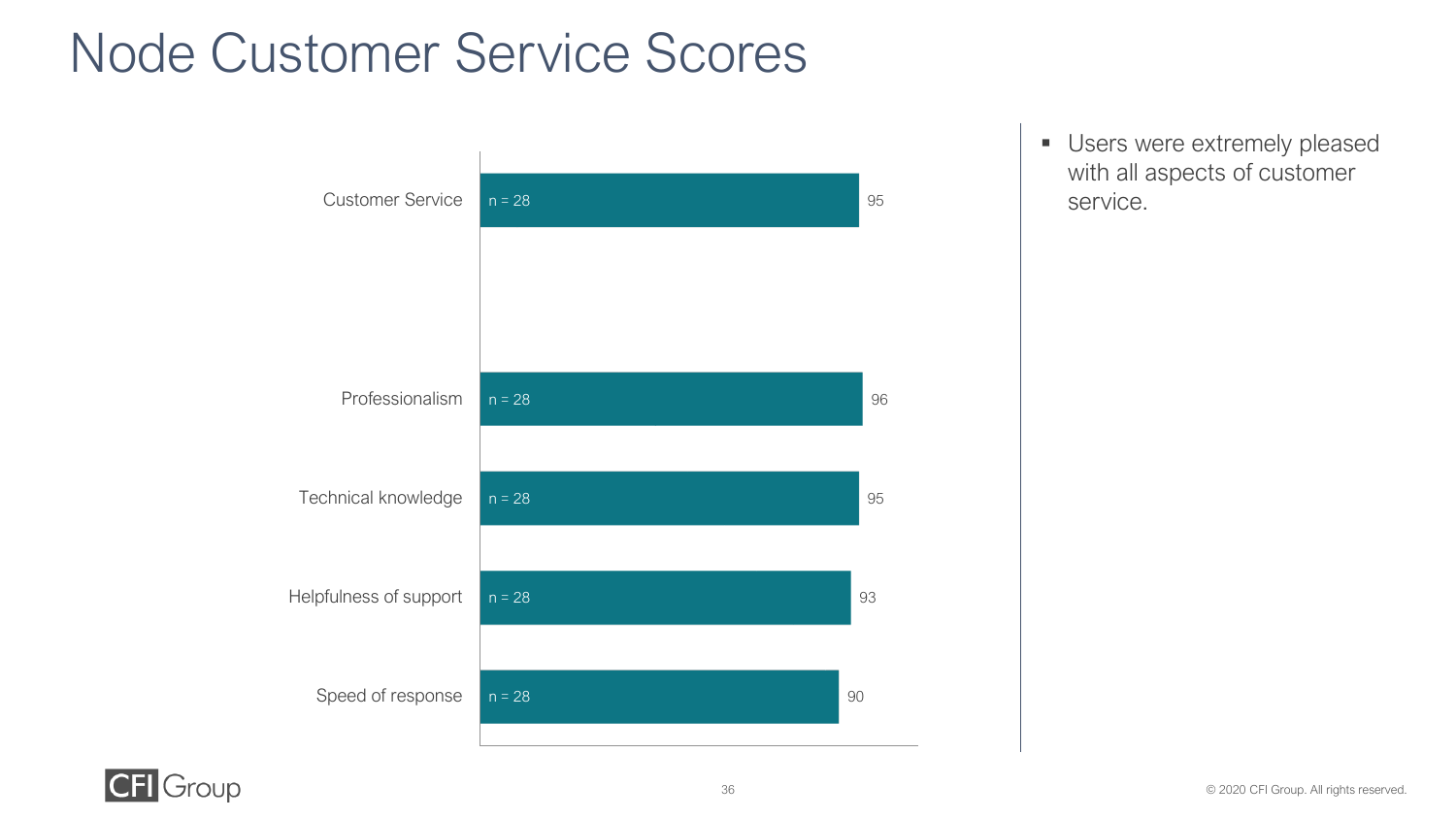### Node Customer Service Scores

![](_page_35_Figure_1.jpeg)

**■ Users were extremely pleased** with all aspects of customer 95 Service.

![](_page_35_Picture_3.jpeg)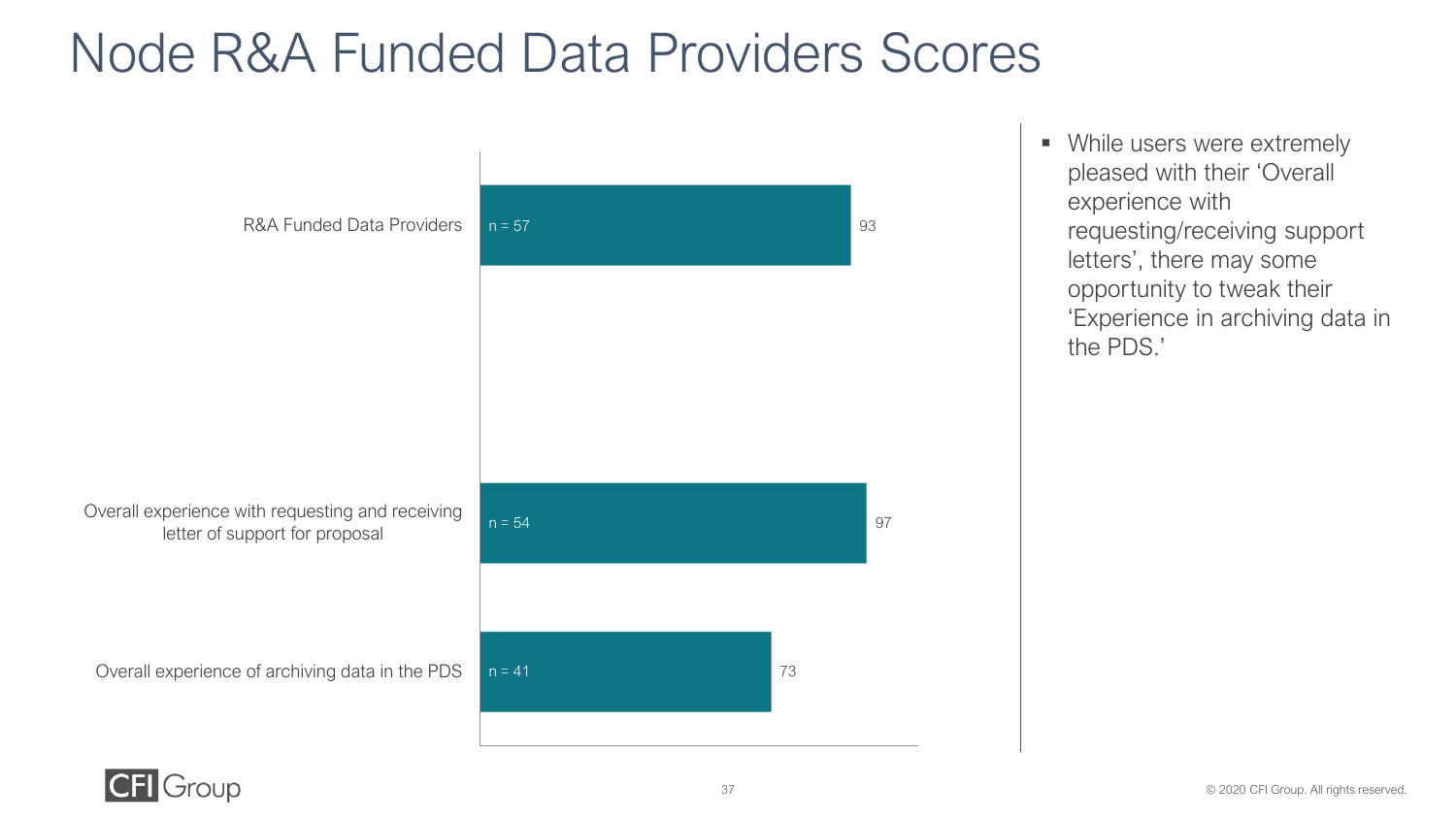### Node R&A Funded Data Providers Scores

![](_page_36_Figure_1.jpeg)

■ While users were extremely pleased with their 'Overall experience with requesting/receiving support letters', there may some opportunity to tweak their 'Experience in archiving data in the PDS.'

![](_page_36_Picture_4.jpeg)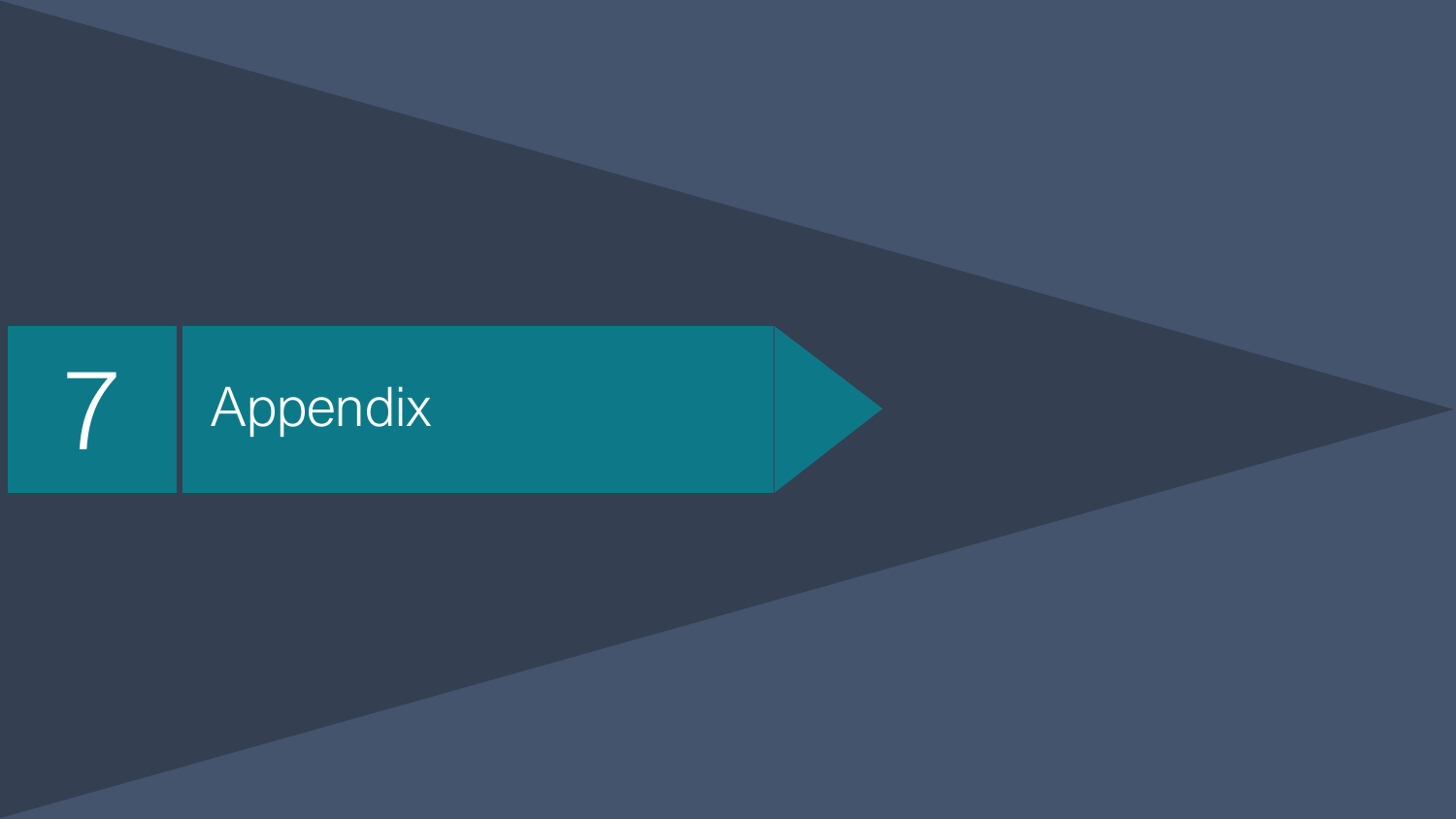![](_page_37_Picture_0.jpeg)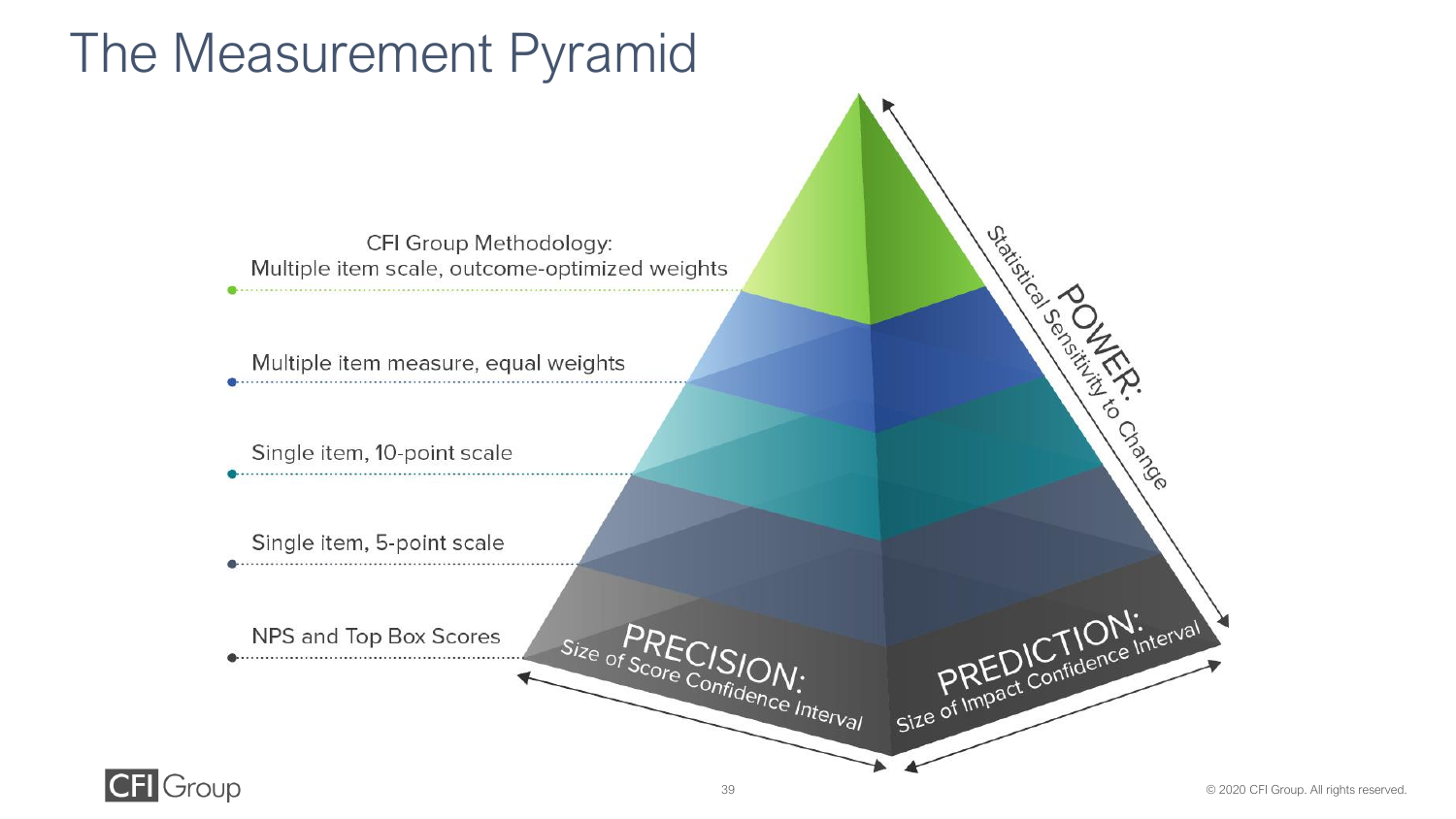### The Measurement Pyramid

![](_page_38_Figure_1.jpeg)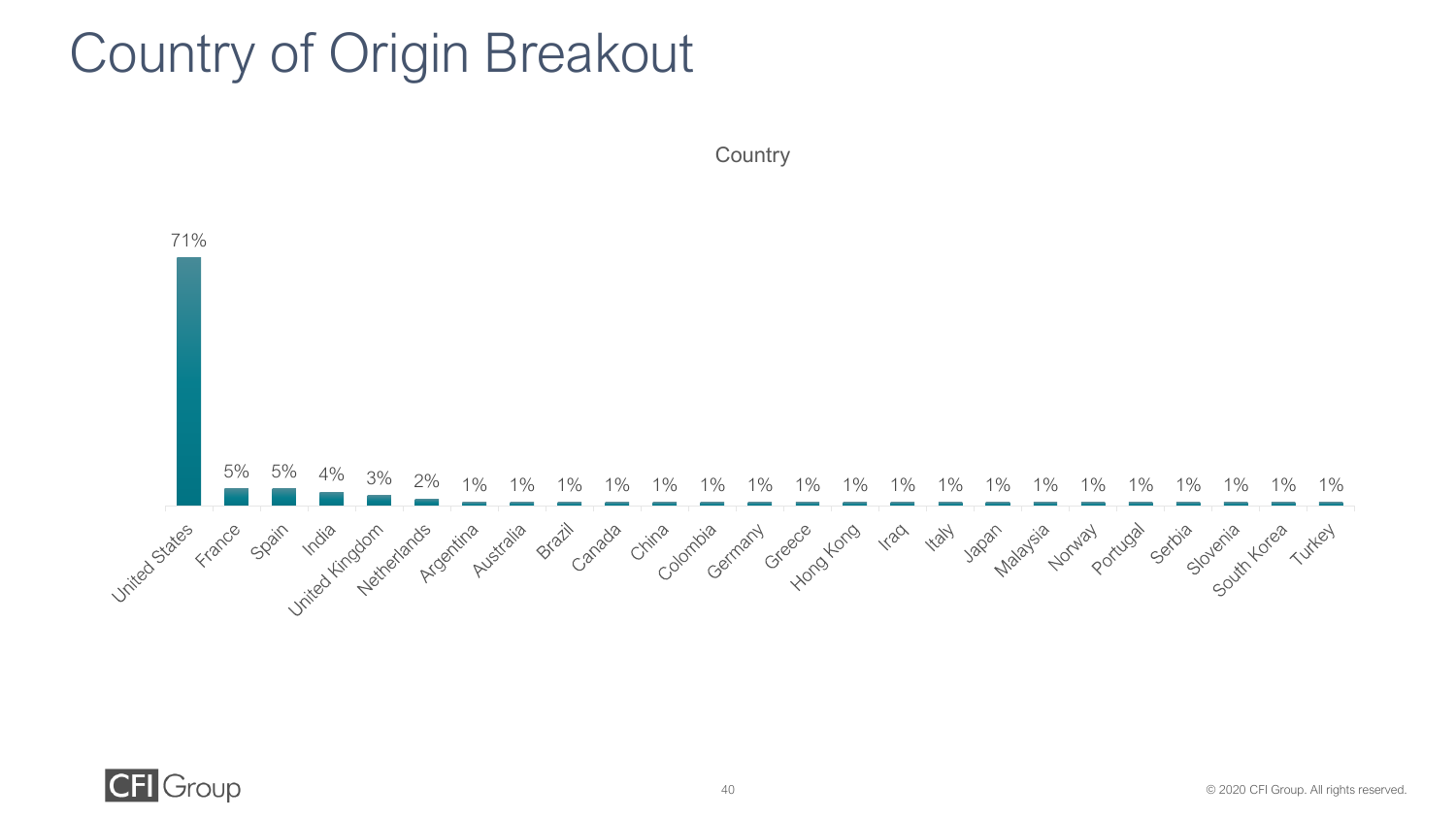### Country of Origin Breakout

![](_page_39_Figure_1.jpeg)

![](_page_39_Figure_2.jpeg)